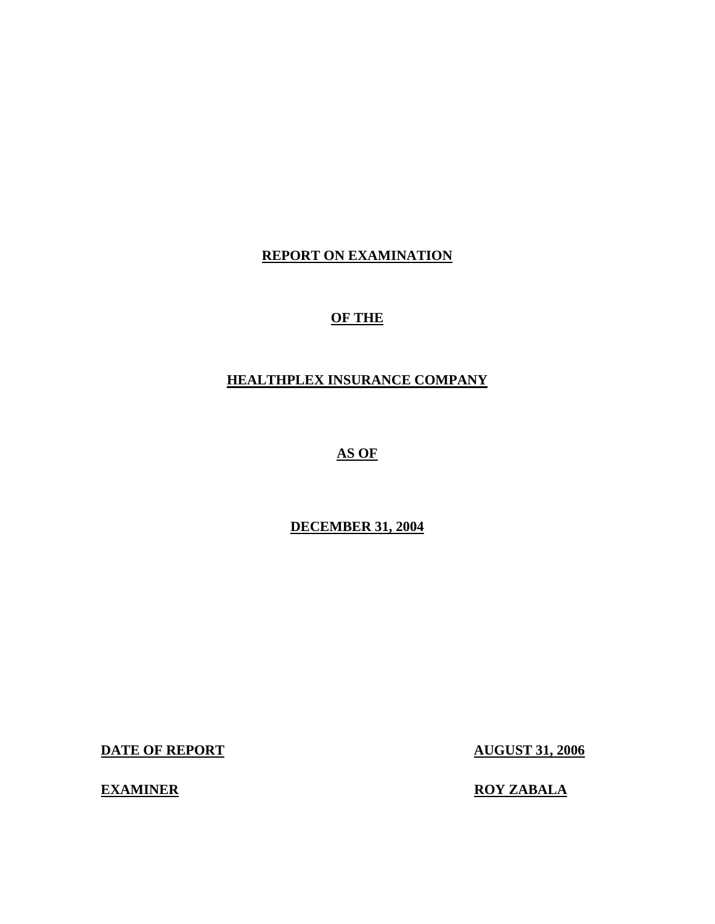## **REPORT ON EXAMINATION**

## **OF THE**

## **HEALTHPLEX INSURANCE COMPANY**

## **AS OF**

## **DECEMBER 31, 2004**

**DATE OF REPORT AUGUST 31, 2006** 

**EXAMINER ROY ZABALA**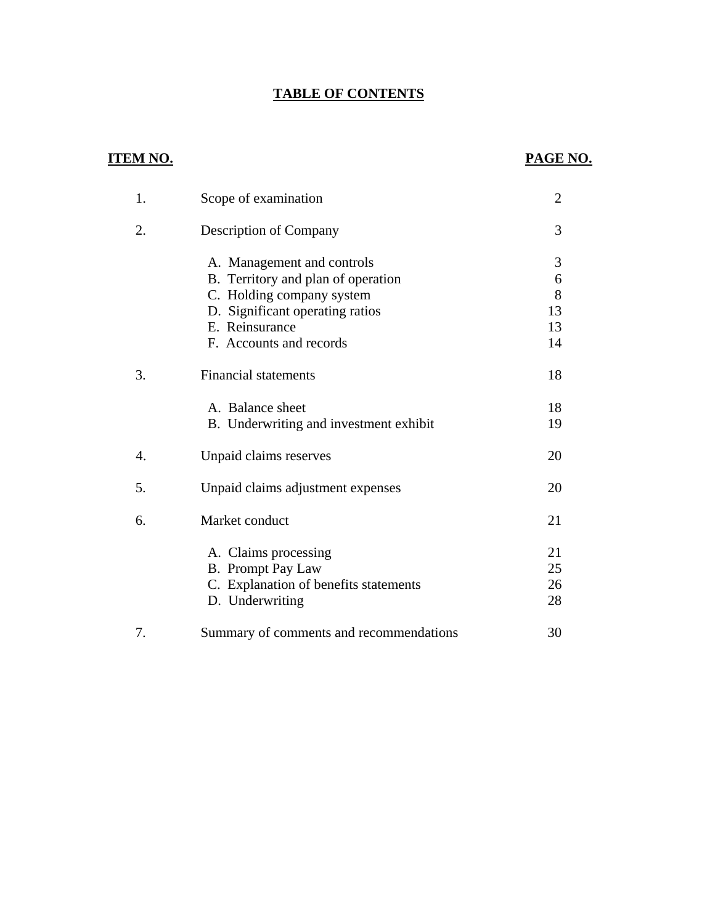## **TABLE OF CONTENTS**

## **ITEM NO. PAGE NO.**

| 1. | Scope of examination                    | $\overline{2}$ |
|----|-----------------------------------------|----------------|
| 2. | <b>Description of Company</b>           | 3              |
|    | A. Management and controls              | 3              |
|    | B. Territory and plan of operation      | 6              |
|    | C. Holding company system               | 8              |
|    | D. Significant operating ratios         | 13             |
|    | E. Reinsurance                          | 13             |
|    | F. Accounts and records                 | 14             |
| 3. | <b>Financial statements</b>             | 18             |
|    | A. Balance sheet                        | 18             |
|    | B. Underwriting and investment exhibit  | 19             |
| 4. | Unpaid claims reserves                  | 20             |
| 5. | Unpaid claims adjustment expenses       | 20             |
| 6. | Market conduct                          | 21             |
|    | A. Claims processing                    | 21             |
|    | <b>B.</b> Prompt Pay Law                | 25             |
|    | C. Explanation of benefits statements   | 26             |
|    | D. Underwriting                         | 28             |
| 7. | Summary of comments and recommendations | 30             |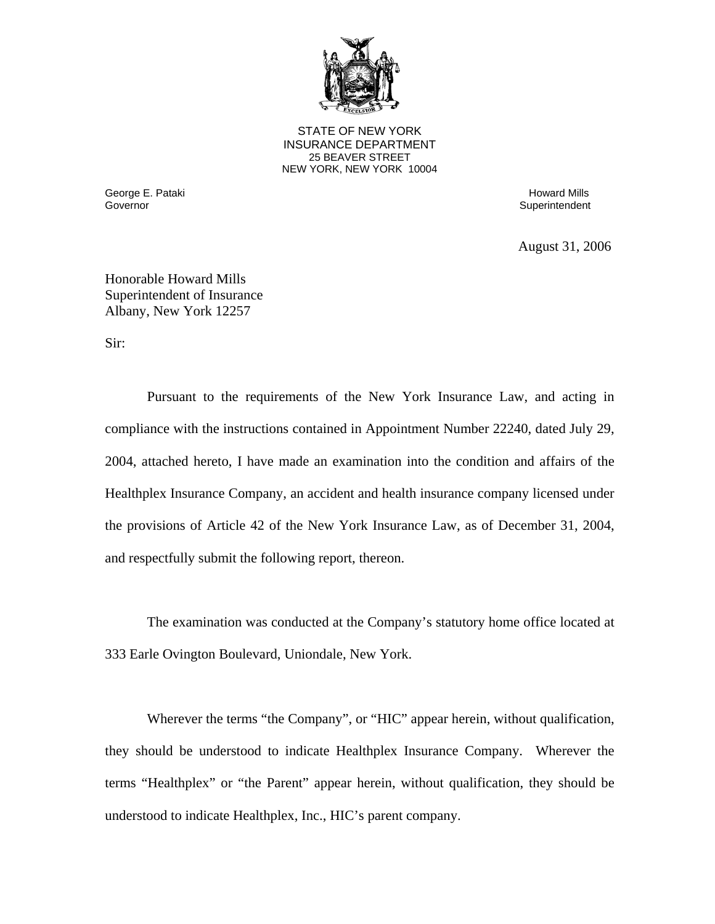

**25 BEAVER STREET** STATE OF NEW YORK INSURANCE DEPARTMENT NEW YORK, NEW YORK 10004

George E. Pataki المستخدم المستخدم المستخدم المستخدم المستخدم المستخدم المستخدم المستخدم المستخدم المستخدم المس<br>المستخدم المستخدم المستخدم المستخدم المستخدم المستخدم المستخدم المستخدم المستخدم المستخدم المستخدم المستخدم ا

Superintendent

August 31, 2006

Honorable Howard Mills Superintendent of Insurance Albany, New York 12257

Sir:

Pursuant to the requirements of the New York Insurance Law, and acting in compliance with the instructions contained in Appointment Number 22240, dated July 29, 2004, attached hereto, I have made an examination into the condition and affairs of the Healthplex Insurance Company, an accident and health insurance company licensed under the provisions of Article 42 of the New York Insurance Law, as of December 31, 2004, and respectfully submit the following report, thereon.

The examination was conducted at the Company's statutory home office located at 333 Earle Ovington Boulevard, Uniondale, New York.

Wherever the terms "the Company", or "HIC" appear herein, without qualification, they should be understood to indicate Healthplex Insurance Company. Wherever the terms "Healthplex" or "the Parent" appear herein, without qualification, they should be understood to indicate Healthplex, Inc., HIC's parent company.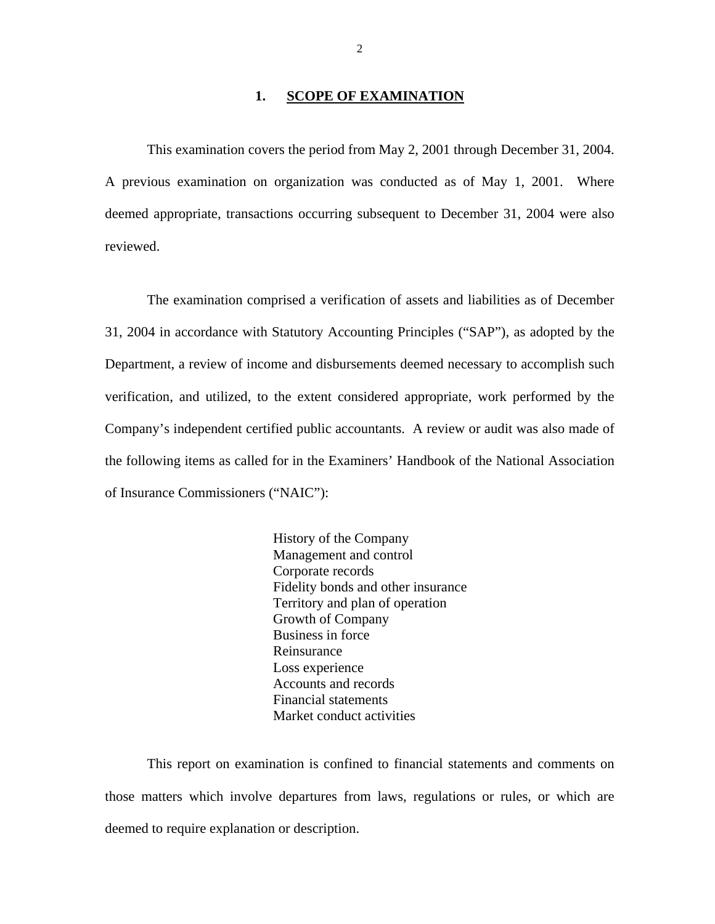#### 1. **SCOPE OF EXAMINATION**

<span id="page-3-0"></span>This examination covers the period from May 2, 2001 through December 31, 2004. A previous examination on organization was conducted as of May 1, 2001. Where deemed appropriate, transactions occurring subsequent to December 31, 2004 were also reviewed.

The examination comprised a verification of assets and liabilities as of December 31, 2004 in accordance with Statutory Accounting Principles ("SAP"), as adopted by the Department, a review of income and disbursements deemed necessary to accomplish such verification, and utilized, to the extent considered appropriate, work performed by the Company's independent certified public accountants. A review or audit was also made of the following items as called for in the Examiners' Handbook of the National Association of Insurance Commissioners ("NAIC"):

> History of the Company Management and control Corporate records Fidelity bonds and other insurance Territory and plan of operation Growth of Company Business in force Reinsurance Loss experience Accounts and records Financial statements Market conduct activities

This report on examination is confined to financial statements and comments on those matters which involve departures from laws, regulations or rules, or which are deemed to require explanation or description.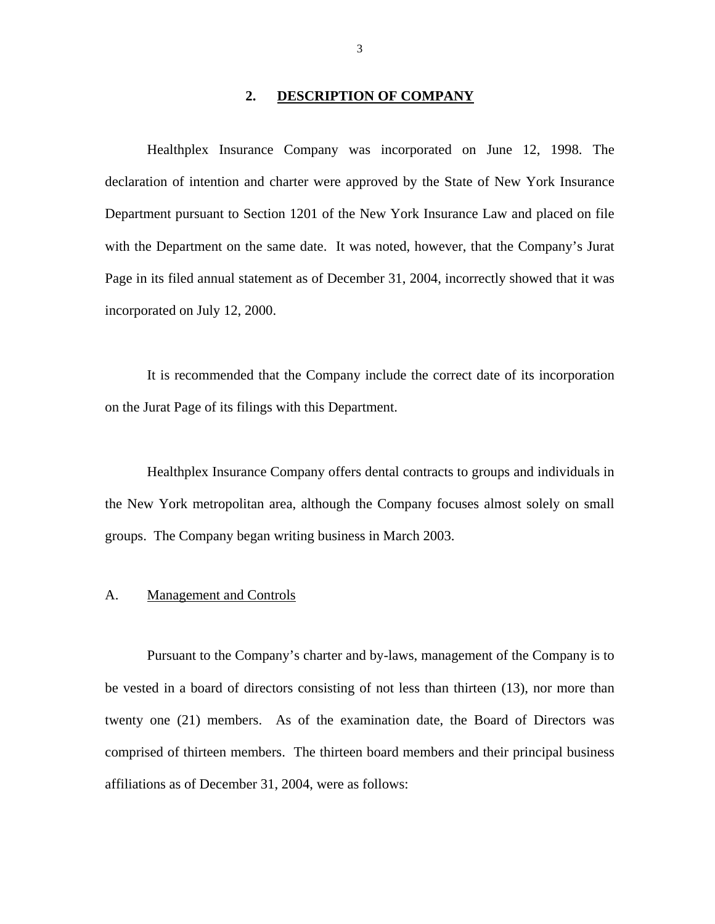### **2. DESCRIPTION OF COMPANY**

<span id="page-4-0"></span>Healthplex Insurance Company was incorporated on June 12, 1998. The declaration of intention and charter were approved by the State of New York Insurance Department pursuant to Section 1201 of the New York Insurance Law and placed on file with the Department on the same date. It was noted, however, that the Company's Jurat Page in its filed annual statement as of December 31, 2004, incorrectly showed that it was incorporated on July 12, 2000.

It is recommended that the Company include the correct date of its incorporation on the Jurat Page of its filings with this Department.

Healthplex Insurance Company offers dental contracts to groups and individuals in the New York metropolitan area, although the Company focuses almost solely on small groups. The Company began writing business in March 2003.

#### **Management and Controls**

A. Management and Controls<br>Pursuant to the Company's charter and by-laws, management of the Company is to be vested in a board of directors consisting of not less than thirteen (13), nor more than twenty one (21) members. As of the examination date, the Board of Directors was comprised of thirteen members. The thirteen board members and their principal business affiliations as of December 31, 2004, were as follows: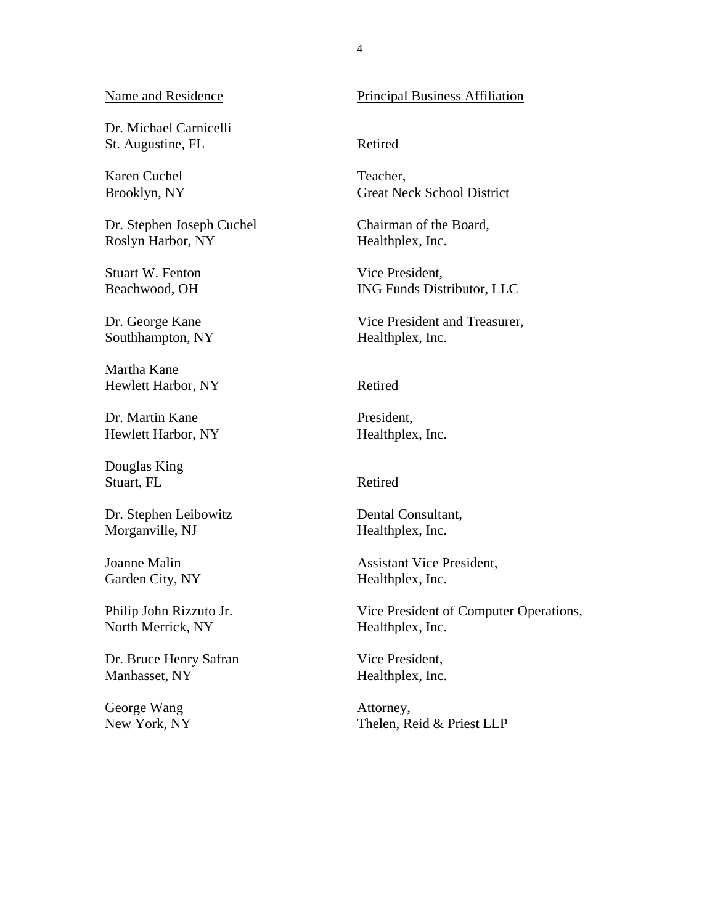Dr. Michael Carnicelli St. Augustine, FL Retired

Karen Cuchel Brooklyn, NY

Dr. Stephen Joseph Cuchel Roslyn Harbor, NY

Stuart W. Fenton Beachwood, OH

Dr. George Kane Southhampton, NY

 Martha Kane Hewlett Harbor, NY Retired

Dr. Martin Kane Hewlett Harbor, NY

Douglas King Stuart, FL Retired

Dr. Stephen Leibowitz Morganville, NJ

Joanne Malin Garden City, NY

Philip John Rizzuto Jr. North Merrick, NY

Dr. Bruce Henry Safran Manhasset, NY

George Wang New York, NY

#### Name and Residence Principal Business Affiliation

Teacher, Great Neck School District

Chairman of the Board, Healthplex, Inc.

Vice President, ING Funds Distributor, LLC

Vice President and Treasurer, Healthplex, Inc.

 President, Healthplex, Inc.

 Dental Consultant, Healthplex, Inc.

Assistant Vice President,<br>
Healthplex, Inc.

Vice President of Computer Operations, Healthplex, Inc.

Vice President, Healthplex, Inc.

Attorney, Thelen, Reid & Priest LLP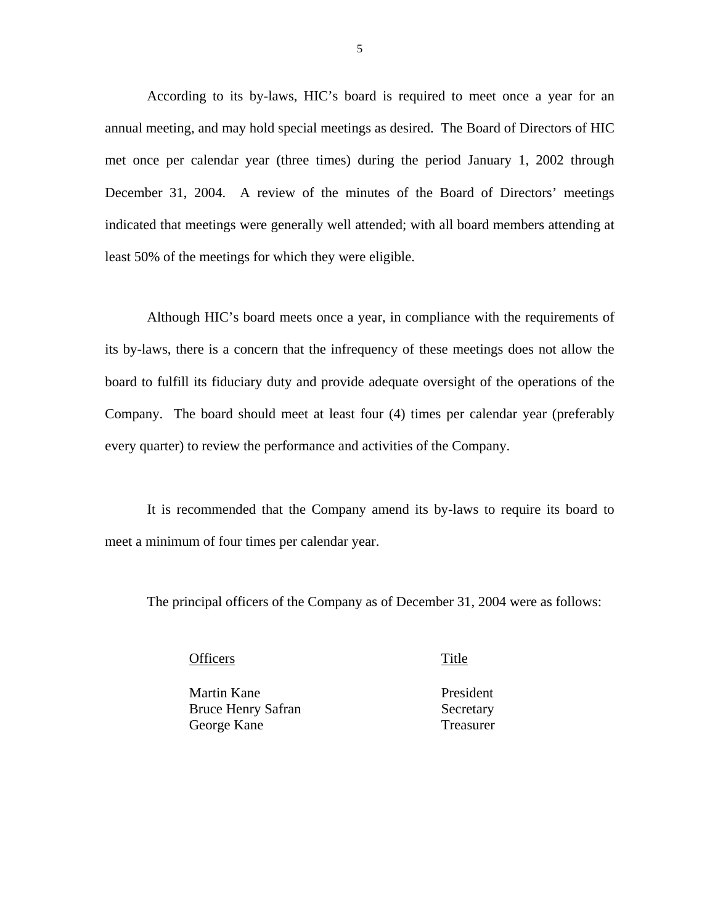According to its by-laws, HIC's board is required to meet once a year for an annual meeting, and may hold special meetings as desired. The Board of Directors of HIC met once per calendar year (three times) during the period January 1, 2002 through December 31, 2004. A review of the minutes of the Board of Directors' meetings indicated that meetings were generally well attended; with all board members attending at least 50% of the meetings for which they were eligible.

Although HIC's board meets once a year, in compliance with the requirements of its by-laws, there is a concern that the infrequency of these meetings does not allow the board to fulfill its fiduciary duty and provide adequate oversight of the operations of the Company. The board should meet at least four (4) times per calendar year (preferably every quarter) to review the performance and activities of the Company.

It is recommended that the Company amend its by-laws to require its board to meet a minimum of four times per calendar year.

The principal officers of the Company as of December 31, 2004 were as follows:

Officers Title

Martin Kane President Bruce Henry Safran Secretary George Kane Treasurer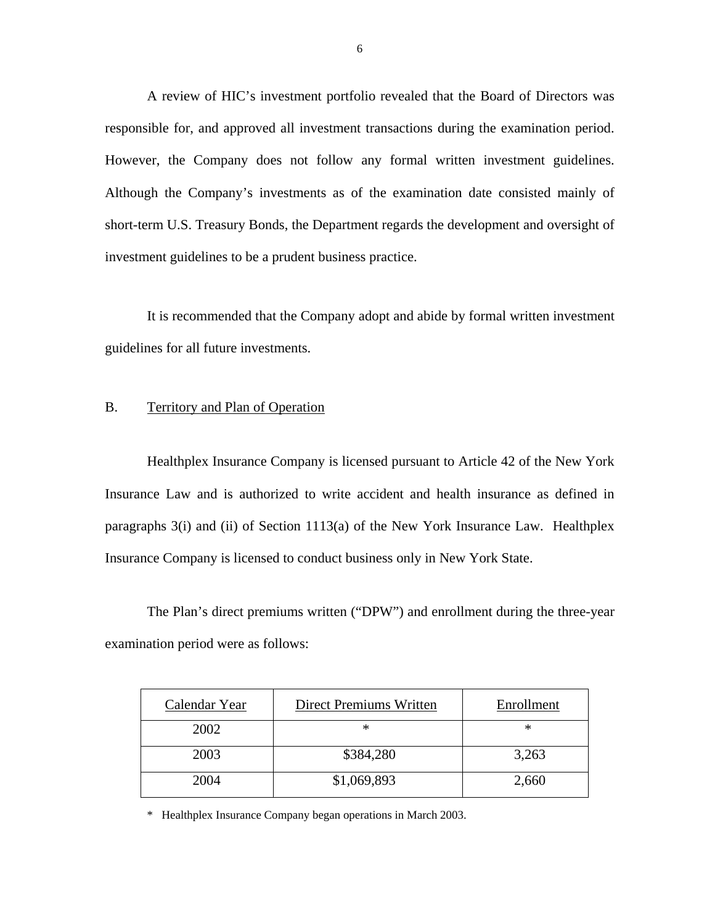A review of HIC's investment portfolio revealed that the Board of Directors was responsible for, and approved all investment transactions during the examination period. However, the Company does not follow any formal written investment guidelines. Although the Company's investments as of the examination date consisted mainly of short-term U.S. Treasury Bonds, the Department regards the development and oversight of investment guidelines to be a prudent business practice.

It is recommended that the Company adopt and abide by formal written investment guidelines for all future investments.

#### B. Territory and Plan of Operation

Healthplex Insurance Company is licensed pursuant to Article 42 of the New York Insurance Law and is authorized to write accident and health insurance as defined in paragraphs 3(i) and (ii) of Section 1113(a) of the New York Insurance Law. Healthplex Insurance Company is licensed to conduct business only in New York State.

The Plan's direct premiums written ("DPW") and enrollment during the three-year examination period were as follows:

| Calendar Year | <b>Direct Premiums Written</b> | Enrollment |
|---------------|--------------------------------|------------|
| 2002          | ∗                              | ∗          |
| 2003          | \$384,280                      | 3,263      |
| 2004          | \$1,069,893                    | 2,660      |

\* Healthplex Insurance Company began operations in March 2003.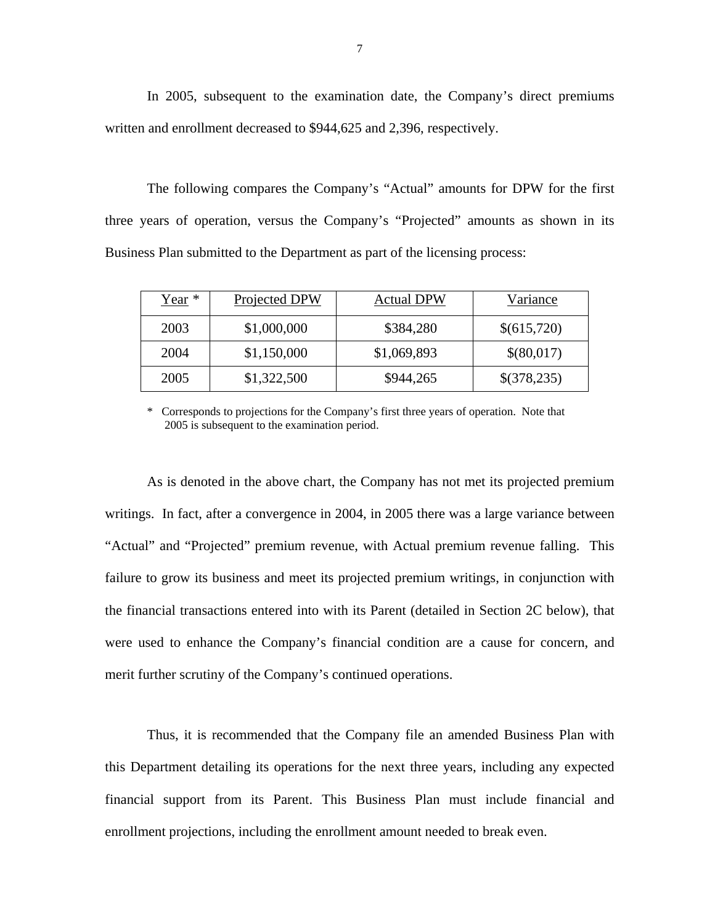In 2005, subsequent to the examination date, the Company's direct premiums written and enrollment decreased to \$944,625 and 2,396, respectively.

The following compares the Company's "Actual" amounts for DPW for the first three years of operation, versus the Company's "Projected" amounts as shown in its Business Plan submitted to the Department as part of the licensing process:

| $Year *$ | Projected DPW | <b>Actual DPW</b> | Variance    |
|----------|---------------|-------------------|-------------|
| 2003     | \$1,000,000   | \$384,280         | \$(615,720) |
| 2004     | \$1,150,000   | \$1,069,893       | \$(80,017)  |
| 2005     | \$1,322,500   | \$944,265         | \$(378,235) |

\* Corresponds to projections for the Company's first three years of operation. Note that 2005 is subsequent to the examination period.

As is denoted in the above chart, the Company has not met its projected premium writings. In fact, after a convergence in 2004, in 2005 there was a large variance between "Actual" and "Projected" premium revenue, with Actual premium revenue falling. This failure to grow its business and meet its projected premium writings, in conjunction with the financial transactions entered into with its Parent (detailed in Section 2C below), that were used to enhance the Company's financial condition are a cause for concern, and merit further scrutiny of the Company's continued operations.

Thus, it is recommended that the Company file an amended Business Plan with this Department detailing its operations for the next three years, including any expected financial support from its Parent. This Business Plan must include financial and enrollment projections, including the enrollment amount needed to break even.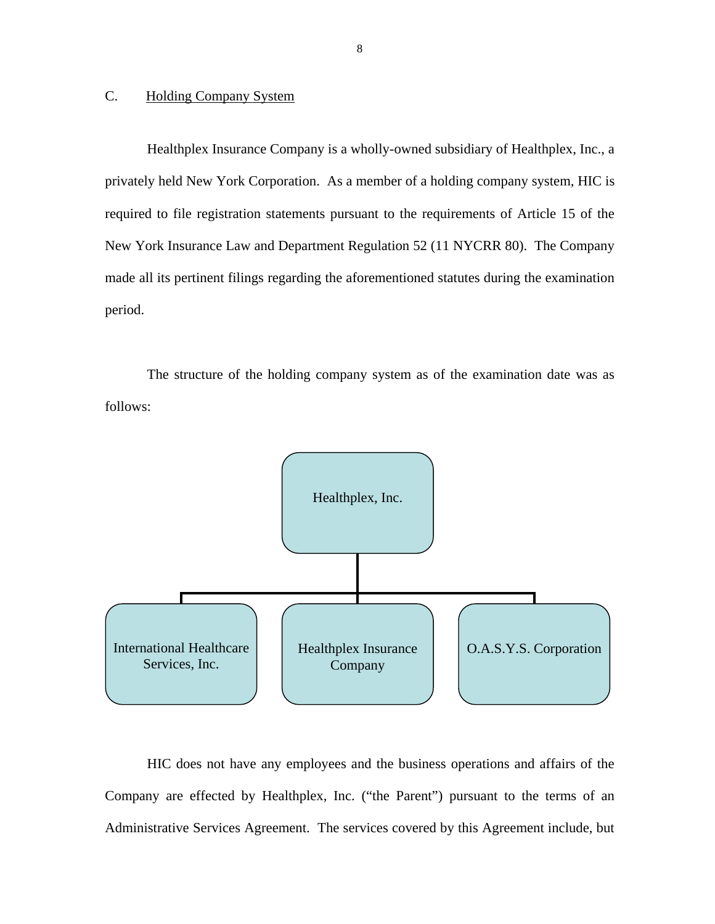#### <span id="page-9-0"></span>C. Holding Company System

Healthplex Insurance Company is a wholly-owned subsidiary of Healthplex, Inc., a privately held New York Corporation. As a member of a holding company system, HIC is required to file registration statements pursuant to the requirements of Article 15 of the New York Insurance Law and Department Regulation 52 (11 NYCRR 80). The Company made all its pertinent filings regarding the aforementioned statutes during the examination period.

The structure of the holding company system as of the examination date was as follows:



HIC does not have any employees and the business operations and affairs of the Company are effected by Healthplex, Inc. ("the Parent") pursuant to the terms of an Administrative Services Agreement. The services covered by this Agreement include, but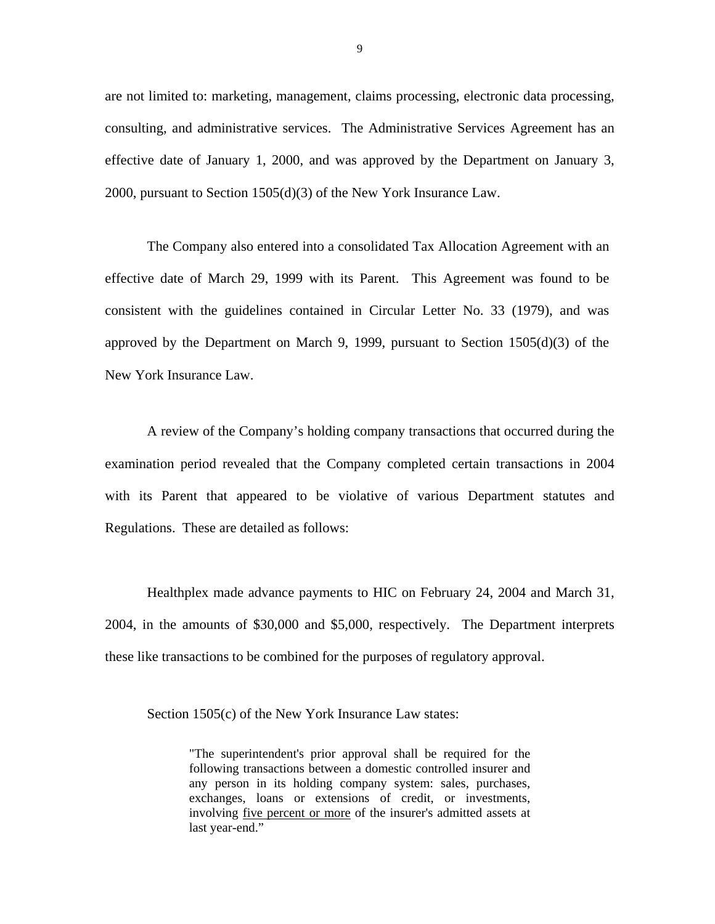are not limited to: marketing, management, claims processing, electronic data processing, consulting, and administrative services. The Administrative Services Agreement has an effective date of January 1, 2000, and was approved by the Department on January 3, 2000, pursuant to Section 1505(d)(3) of the New York Insurance Law.

The Company also entered into a consolidated Tax Allocation Agreement with an effective date of March 29, 1999 with its Parent. This Agreement was found to be consistent with the guidelines contained in Circular Letter No. 33 (1979), and was approved by the Department on March 9, 1999, pursuant to Section 1505(d)(3) of the New York Insurance Law.

A review of the Company's holding company transactions that occurred during the examination period revealed that the Company completed certain transactions in 2004 with its Parent that appeared to be violative of various Department statutes and Regulations. These are detailed as follows:

Healthplex made advance payments to HIC on February 24, 2004 and March 31, 2004, in the amounts of \$30,000 and \$5,000, respectively. The Department interprets these like transactions to be combined for the purposes of regulatory approval.

Section 1505(c) of the New York Insurance Law states:

"The superintendent's prior approval shall be required for the following transactions between a domestic controlled insurer and any person in its holding company system: sales, purchases, exchanges, loans or extensions of credit, or investments, involving five percent or more of the insurer's admitted assets at last year-end."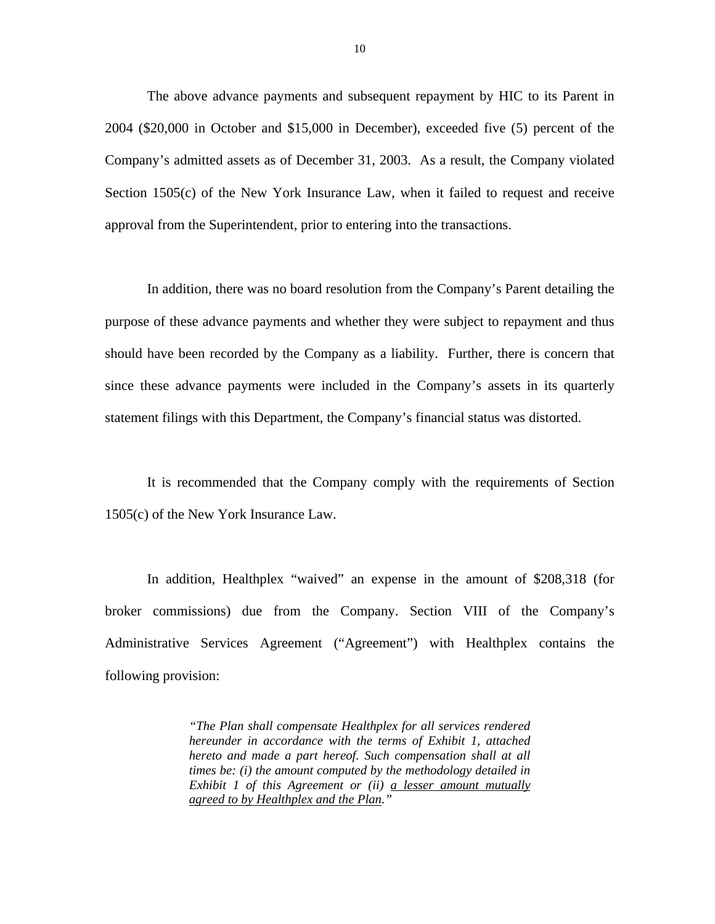The above advance payments and subsequent repayment by HIC to its Parent in 2004 (\$20,000 in October and \$15,000 in December), exceeded five (5) percent of the Company's admitted assets as of December 31, 2003. As a result, the Company violated Section 1505(c) of the New York Insurance Law, when it failed to request and receive approval from the Superintendent, prior to entering into the transactions.

In addition, there was no board resolution from the Company's Parent detailing the purpose of these advance payments and whether they were subject to repayment and thus should have been recorded by the Company as a liability. Further, there is concern that since these advance payments were included in the Company's assets in its quarterly statement filings with this Department, the Company's financial status was distorted.

It is recommended that the Company comply with the requirements of Section 1505(c) of the New York Insurance Law.

In addition, Healthplex "waived" an expense in the amount of \$208,318 (for broker commissions) due from the Company. Section VIII of the Company's Administrative Services Agreement ("Agreement") with Healthplex contains the following provision:

> *"The Plan shall compensate Healthplex for all services rendered hereunder in accordance with the terms of Exhibit 1, attached hereto and made a part hereof. Such compensation shall at all times be: (i) the amount computed by the methodology detailed in Exhibit 1 of this Agreement or (ii) a lesser amount mutually agreed to by Healthplex and the Plan."*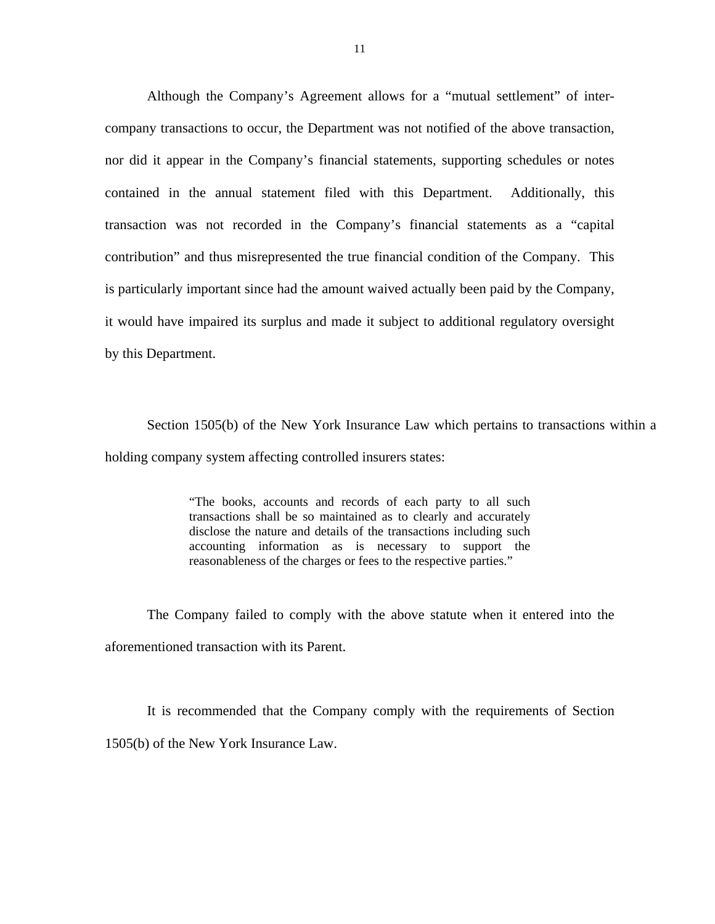Although the Company's Agreement allows for a "mutual settlement" of intercompany transactions to occur, the Department was not notified of the above transaction, nor did it appear in the Company's financial statements, supporting schedules or notes contained in the annual statement filed with this Department. Additionally, this transaction was not recorded in the Company's financial statements as a "capital contribution" and thus misrepresented the true financial condition of the Company. This is particularly important since had the amount waived actually been paid by the Company, it would have impaired its surplus and made it subject to additional regulatory oversight by this Department.

Section 1505(b) of the New York Insurance Law which pertains to transactions within a holding company system affecting controlled insurers states:

> "The books, accounts and records of each party to all such transactions shall be so maintained as to clearly and accurately disclose the nature and details of the transactions including such accounting information as is necessary to support the reasonableness of the charges or fees to the respective parties."

The Company failed to comply with the above statute when it entered into the aforementioned transaction with its Parent.

It is recommended that the Company comply with the requirements of Section 1505(b) of the New York Insurance Law.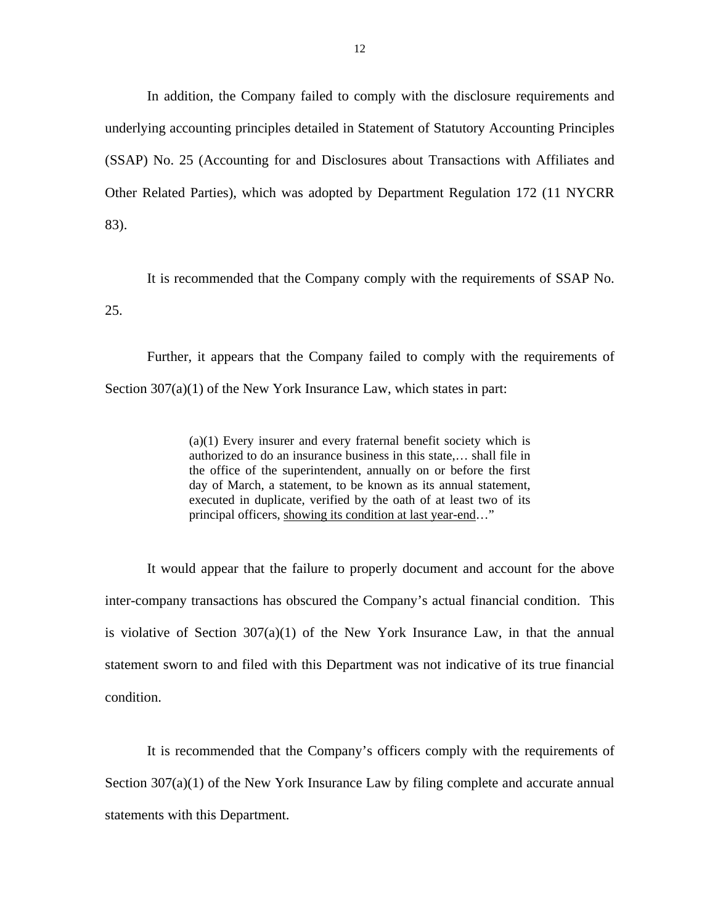In addition, the Company failed to comply with the disclosure requirements and underlying accounting principles detailed in Statement of Statutory Accounting Principles (SSAP) No. 25 (Accounting for and Disclosures about Transactions with Affiliates and Other Related Parties), which was adopted by Department Regulation 172 (11 NYCRR 83).

It is recommended that the Company comply with the requirements of SSAP No. 25.

Further, it appears that the Company failed to comply with the requirements of Section  $307(a)(1)$  of the New York Insurance Law, which states in part:

> (a)(1) Every insurer and every fraternal benefit society which is authorized to do an insurance business in this state,… shall file in the office of the superintendent, annually on or before the first day of March, a statement, to be known as its annual statement, executed in duplicate, verified by the oath of at least two of its principal officers, showing its condition at last year-end…"

It would appear that the failure to properly document and account for the above inter-company transactions has obscured the Company's actual financial condition. This is violative of Section 307(a)(1) of the New York Insurance Law, in that the annual statement sworn to and filed with this Department was not indicative of its true financial condition.

It is recommended that the Company's officers comply with the requirements of Section 307(a)(1) of the New York Insurance Law by filing complete and accurate annual statements with this Department.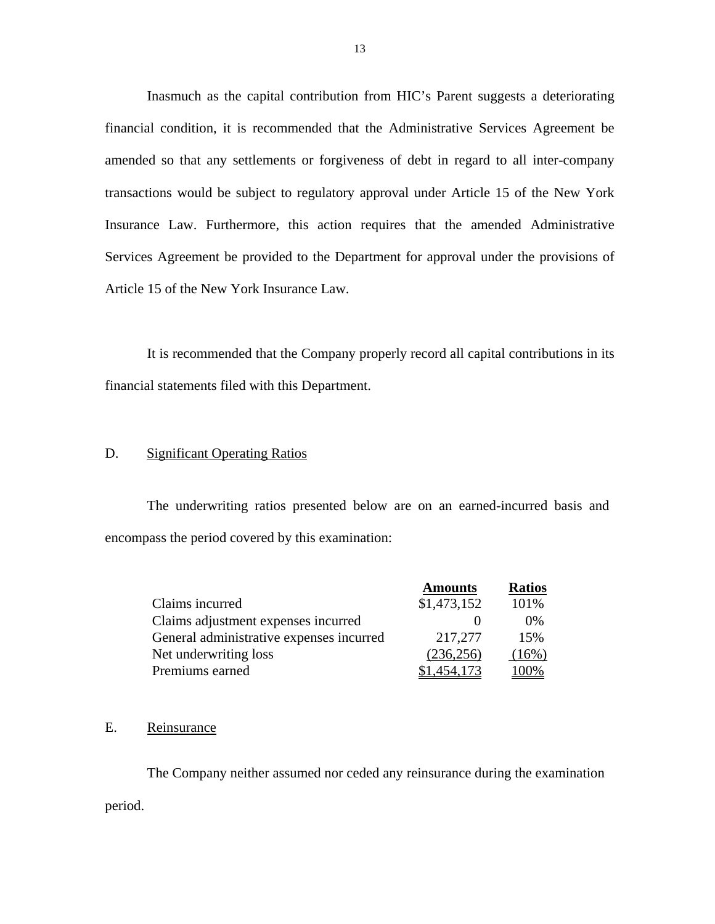Inasmuch as the capital contribution from HIC's Parent suggests a deteriorating financial condition, it is recommended that the Administrative Services Agreement be amended so that any settlements or forgiveness of debt in regard to all inter-company transactions would be subject to regulatory approval under Article 15 of the New York Insurance Law. Furthermore, this action requires that the amended Administrative Services Agreement be provided to the Department for approval under the provisions of Article 15 of the New York Insurance Law.

It is recommended that the Company properly record all capital contributions in its financial statements filed with this Department.

#### D. Significant Operating Ratios

The underwriting ratios presented below are on an earned-incurred basis and encompass the period covered by this examination:

|                                          | <b>Amounts</b> | <b>Ratios</b> |
|------------------------------------------|----------------|---------------|
| Claims incurred                          | \$1,473,152    | 101%          |
| Claims adjustment expenses incurred      |                | $0\%$         |
| General administrative expenses incurred | 217,277        | 15%           |
| Net underwriting loss                    | (236, 256)     | $(16\%)$      |
| Premiums earned                          | .454.173       | 100%          |

#### E. Reinsurance

The Company neither assumed nor ceded any reinsurance during the examination period.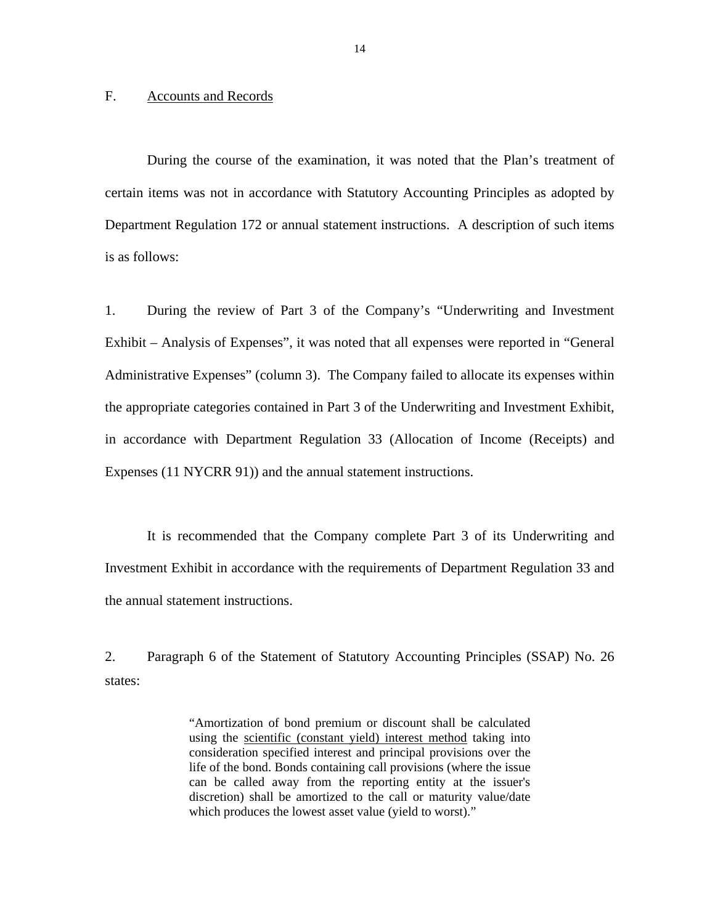#### <span id="page-15-0"></span>F. Accounts and Records

During the course of the examination, it was noted that the Plan's treatment of certain items was not in accordance with Statutory Accounting Principles as adopted by Department Regulation 172 or annual statement instructions. A description of such items is as follows:

1. During the review of Part 3 of the Company's "Underwriting and Investment Exhibit – Analysis of Expenses", it was noted that all expenses were reported in "General Administrative Expenses" (column 3). The Company failed to allocate its expenses within the appropriate categories contained in Part 3 of the Underwriting and Investment Exhibit, in accordance with Department Regulation 33 (Allocation of Income (Receipts) and Expenses (11 NYCRR 91)) and the annual statement instructions.

It is recommended that the Company complete Part 3 of its Underwriting and Investment Exhibit in accordance with the requirements of Department Regulation 33 and the annual statement instructions.

2. Paragraph 6 of the Statement of Statutory Accounting Principles (SSAP) No. 26 states:

> "Amortization of bond premium or discount shall be calculated using the scientific (constant yield) interest method taking into consideration specified interest and principal provisions over the life of the bond. Bonds containing call provisions (where the issue can be called away from the reporting entity at the issuer's discretion) shall be amortized to the call or maturity value/date which produces the lowest asset value (yield to worst)."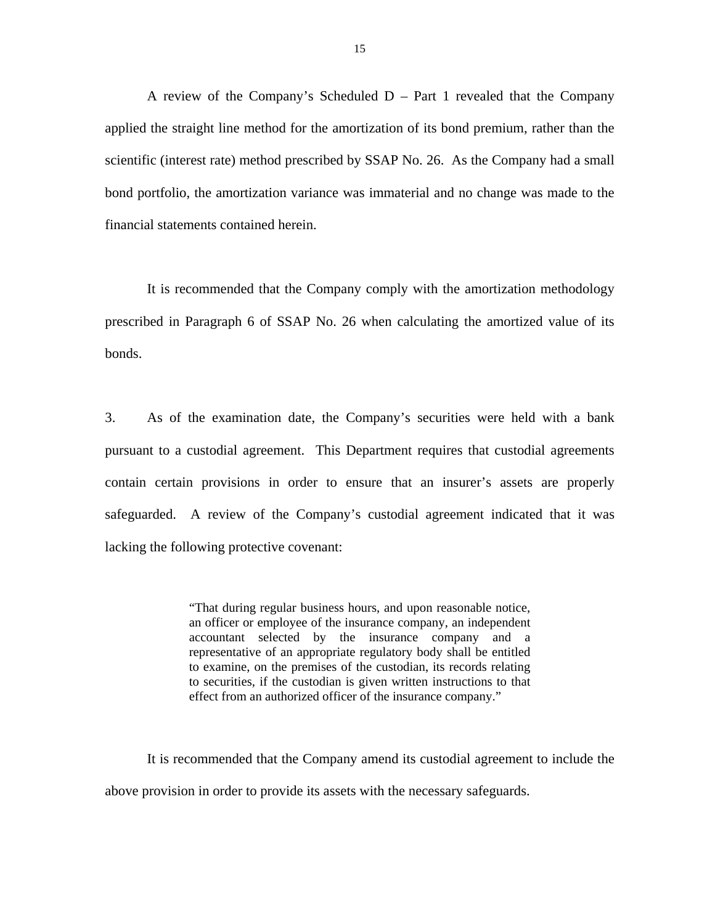A review of the Company's Scheduled  $D - Part 1$  revealed that the Company applied the straight line method for the amortization of its bond premium, rather than the scientific (interest rate) method prescribed by SSAP No. 26. As the Company had a small bond portfolio, the amortization variance was immaterial and no change was made to the financial statements contained herein.

It is recommended that the Company comply with the amortization methodology prescribed in Paragraph 6 of SSAP No. 26 when calculating the amortized value of its bonds.

3. As of the examination date, the Company's securities were held with a bank pursuant to a custodial agreement. This Department requires that custodial agreements contain certain provisions in order to ensure that an insurer's assets are properly safeguarded. A review of the Company's custodial agreement indicated that it was lacking the following protective covenant:

> "That during regular business hours, and upon reasonable notice, an officer or employee of the insurance company, an independent accountant selected by the insurance company and a representative of an appropriate regulatory body shall be entitled to examine, on the premises of the custodian, its records relating to securities, if the custodian is given written instructions to that effect from an authorized officer of the insurance company."

It is recommended that the Company amend its custodial agreement to include the above provision in order to provide its assets with the necessary safeguards.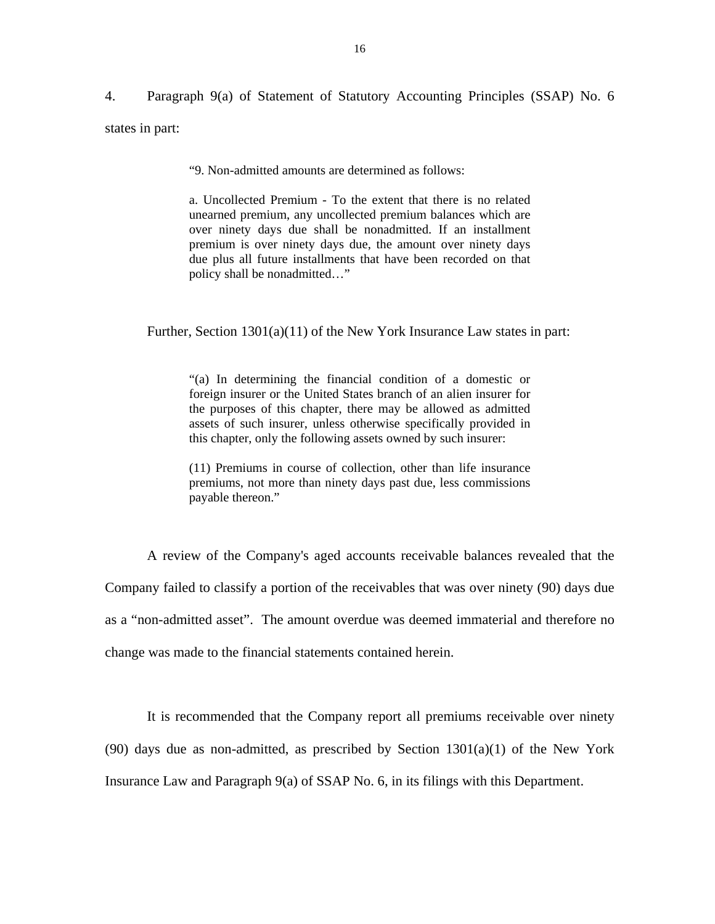4. Paragraph 9(a) of Statement of Statutory Accounting Principles (SSAP) No. 6 states in part:

"9. Non-admitted amounts are determined as follows:

a. Uncollected Premium - To the extent that there is no related unearned premium, any uncollected premium balances which are over ninety days due shall be nonadmitted. If an installment premium is over ninety days due, the amount over ninety days due plus all future installments that have been recorded on that policy shall be nonadmitted…"

Further, Section 1301(a)(11) of the New York Insurance Law states in part:

"(a) In determining the financial condition of a domestic or foreign insurer or the United States branch of an alien insurer for the purposes of this chapter, there may be allowed as admitted assets of such insurer, unless otherwise specifically provided in this chapter, only the following assets owned by such insurer:

(11) Premiums in course of collection, other than life insurance premiums, not more than ninety days past due, less commissions payable thereon."

A review of the Company's aged accounts receivable balances revealed that the Company failed to classify a portion of the receivables that was over ninety (90) days due as a "non-admitted asset". The amount overdue was deemed immaterial and therefore no change was made to the financial statements contained herein.

It is recommended that the Company report all premiums receivable over ninety  $(90)$  days due as non-admitted, as prescribed by Section  $1301(a)(1)$  of the New York Insurance Law and Paragraph 9(a) of SSAP No. 6, in its filings with this Department.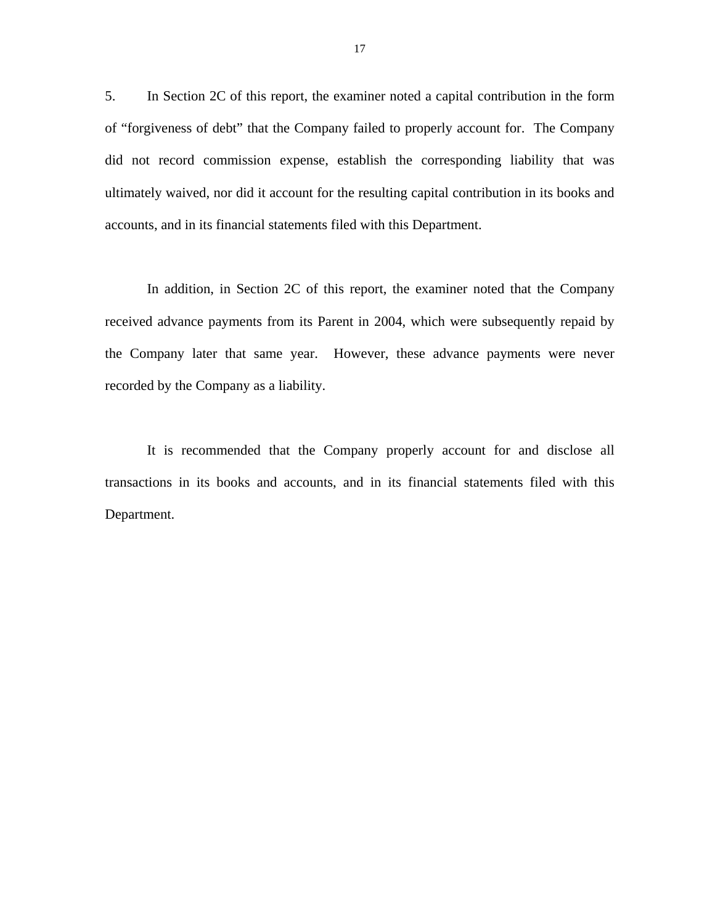5. In Section 2C of this report, the examiner noted a capital contribution in the form of "forgiveness of debt" that the Company failed to properly account for. The Company did not record commission expense, establish the corresponding liability that was ultimately waived, nor did it account for the resulting capital contribution in its books and accounts, and in its financial statements filed with this Department.

In addition, in Section 2C of this report, the examiner noted that the Company received advance payments from its Parent in 2004, which were subsequently repaid by the Company later that same year. However, these advance payments were never recorded by the Company as a liability.

It is recommended that the Company properly account for and disclose all transactions in its books and accounts, and in its financial statements filed with this Department.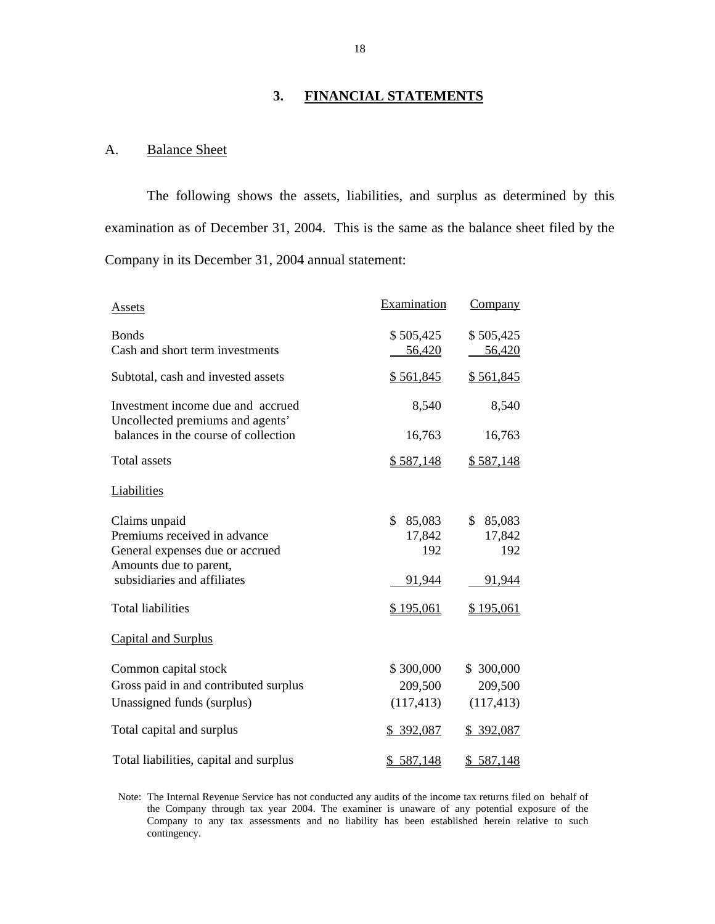### **3. FINANCIAL STATEMENTS**

## A. Balance Sheet

The following shows the assets, liabilities, and surplus as determined by this examination as of December 31, 2004. This is the same as the balance sheet filed by the Company in its December 31, 2004 annual statement:

| Assets                                                                                                     | Examination                    | <b>Company</b>                 |
|------------------------------------------------------------------------------------------------------------|--------------------------------|--------------------------------|
| <b>Bonds</b><br>Cash and short term investments                                                            | \$505,425<br>56,420            | \$505,425<br>56,420            |
| Subtotal, cash and invested assets                                                                         | \$561,845                      | \$561,845                      |
| Investment income due and accrued<br>Uncollected premiums and agents'                                      | 8,540                          | 8,540                          |
| balances in the course of collection                                                                       | 16,763                         | 16,763                         |
| Total assets                                                                                               | \$587,148                      | \$587,148                      |
| <b>Liabilities</b>                                                                                         |                                |                                |
| Claims unpaid<br>Premiums received in advance<br>General expenses due or accrued<br>Amounts due to parent, | \$.<br>85,083<br>17,842<br>192 | \$.<br>85,083<br>17,842<br>192 |
| subsidiaries and affiliates                                                                                | 91,944                         | 91,944                         |
| <b>Total liabilities</b>                                                                                   | \$195,061                      | <u>\$195,061</u>               |
| Capital and Surplus                                                                                        |                                |                                |
| Common capital stock                                                                                       | \$300,000                      | \$300,000                      |
| Gross paid in and contributed surplus                                                                      | 209,500                        | 209,500                        |
| Unassigned funds (surplus)                                                                                 | (117, 413)                     | (117, 413)                     |
| Total capital and surplus                                                                                  | <u>\$392,087</u>               | \$ 392,087                     |
| Total liabilities, capital and surplus                                                                     | \$587,148                      | \$587,148                      |

Note: The Internal Revenue Service has not conducted any audits of the income tax returns filed on behalf of the Company through tax year 2004. The examiner is unaware of any potential exposure of the Company to any tax assessments and no liability has been established herein relative to such contingency.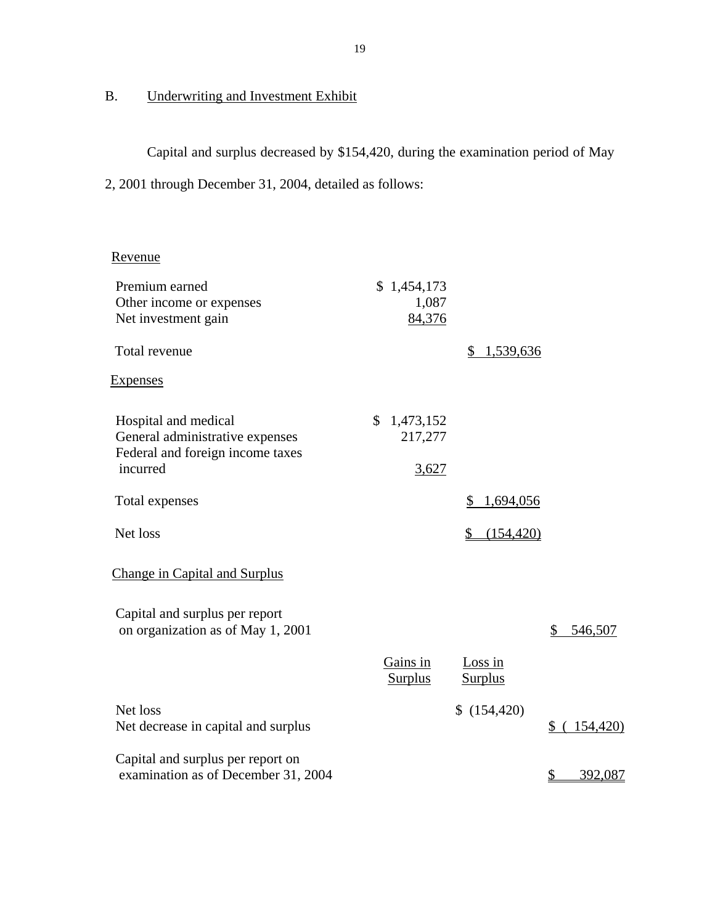## **Underwriting and Investment Exhibit**

B. Underwriting and Investment Exhibit<br>Capital and surplus decreased by \$154,420, during the examination period of May 2, 2001 through December 31, 2004, detailed as follows:

## Revenue

| Premium earned                                                           | \$1,454,173                |                             |                          |
|--------------------------------------------------------------------------|----------------------------|-----------------------------|--------------------------|
| Other income or expenses                                                 | 1,087                      |                             |                          |
| Net investment gain                                                      | 84,376                     |                             |                          |
| Total revenue                                                            |                            | 1,539,636<br>\$             |                          |
| <b>Expenses</b>                                                          |                            |                             |                          |
| Hospital and medical                                                     | $\mathcal{S}$<br>1,473,152 |                             |                          |
| General administrative expenses                                          | 217,277                    |                             |                          |
| Federal and foreign income taxes<br>incurred                             | 3,627                      |                             |                          |
| Total expenses                                                           |                            | \$<br>1,694,056             |                          |
| Net loss                                                                 |                            | (154, 420)<br>$\frac{1}{2}$ |                          |
| <b>Change in Capital and Surplus</b>                                     |                            |                             |                          |
| Capital and surplus per report<br>on organization as of May 1, 2001      |                            |                             | \$<br>546,507            |
|                                                                          |                            |                             |                          |
|                                                                          | Gains in<br><b>Surplus</b> | Loss in<br><b>Surplus</b>   |                          |
|                                                                          |                            |                             |                          |
| Net loss<br>Net decrease in capital and surplus                          |                            | \$(154, 420)                | 154,420)<br>\$           |
| Capital and surplus per report on<br>examination as of December 31, 2004 |                            |                             | 392,087<br>$\frac{1}{2}$ |
|                                                                          |                            |                             |                          |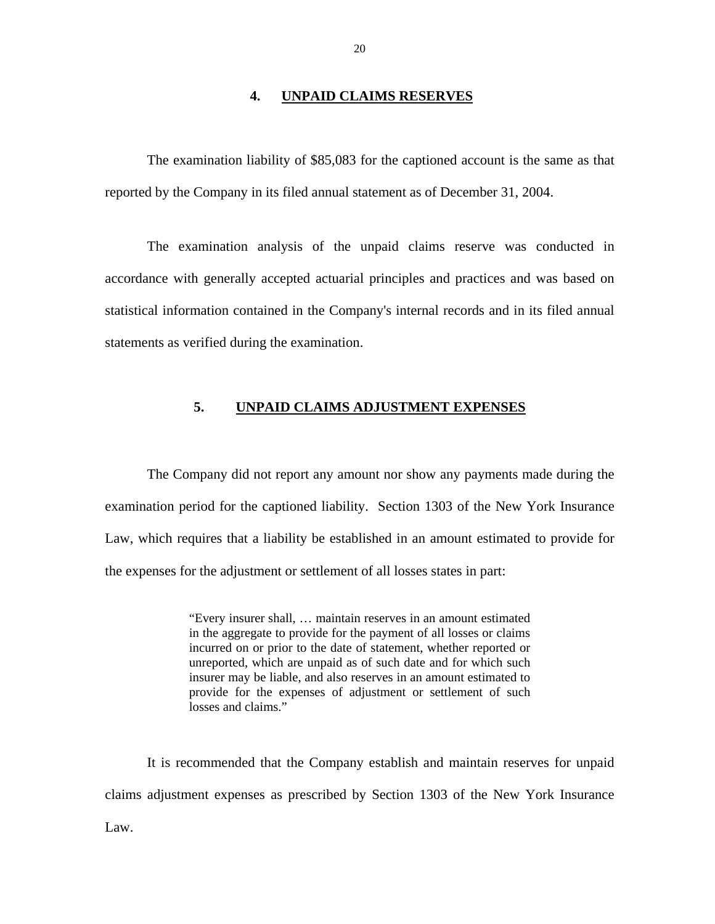#### **4. UNPAID CLAIMS RESERVES**

<span id="page-21-0"></span>The examination liability of \$85,083 for the captioned account is the same as that reported by the Company in its filed annual statement as of December 31, 2004.

The examination analysis of the unpaid claims reserve was conducted in accordance with generally accepted actuarial principles and practices and was based on statistical information contained in the Company's internal records and in its filed annual statements as verified during the examination.

## **5. UNPAID CLAIMS ADJUSTMENT EXPENSES**

The Company did not report any amount nor show any payments made during the examination period for the captioned liability. Section 1303 of the New York Insurance Law, which requires that a liability be established in an amount estimated to provide for the expenses for the adjustment or settlement of all losses states in part:

> "Every insurer shall, … maintain reserves in an amount estimated in the aggregate to provide for the payment of all losses or claims incurred on or prior to the date of statement, whether reported or unreported, which are unpaid as of such date and for which such insurer may be liable, and also reserves in an amount estimated to provide for the expenses of adjustment or settlement of such losses and claims."

It is recommended that the Company establish and maintain reserves for unpaid claims adjustment expenses as prescribed by Section 1303 of the New York Insurance Law.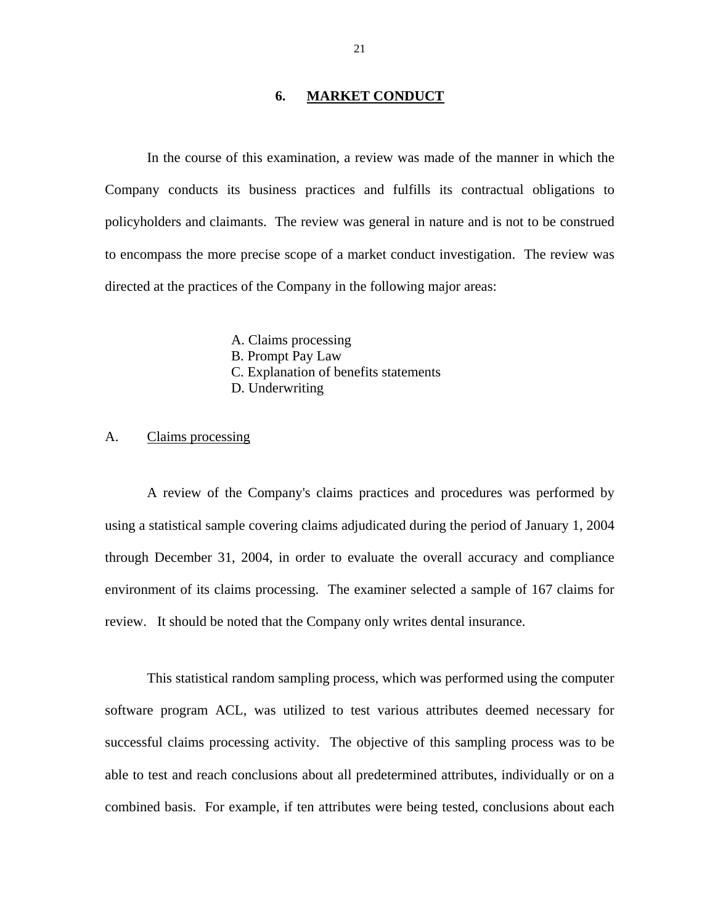#### **6. MARKET CONDUCT**

<span id="page-22-0"></span>In the course of this examination, a review was made of the manner in which the Company conducts its business practices and fulfills its contractual obligations to policyholders and claimants. The review was general in nature and is not to be construed to encompass the more precise scope of a market conduct investigation. The review was directed at the practices of the Company in the following major areas:

> A. Claims processing B. Prompt Pay Law C. Explanation of benefits statements D. Underwriting

#### A. Claims processing

A review of the Company's claims practices and procedures was performed by using a statistical sample covering claims adjudicated during the period of January 1, 2004 through December 31, 2004, in order to evaluate the overall accuracy and compliance environment of its claims processing. The examiner selected a sample of 167 claims for review. It should be noted that the Company only writes dental insurance.

This statistical random sampling process, which was performed using the computer software program ACL, was utilized to test various attributes deemed necessary for successful claims processing activity. The objective of this sampling process was to be able to test and reach conclusions about all predetermined attributes, individually or on a combined basis. For example, if ten attributes were being tested, conclusions about each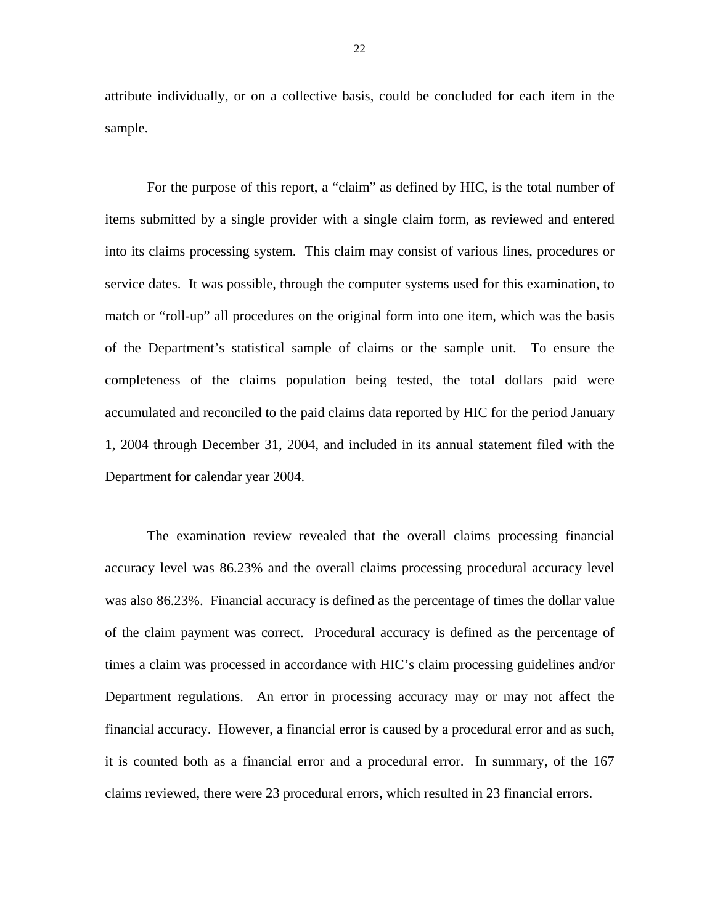attribute individually, or on a collective basis, could be concluded for each item in the sample.

For the purpose of this report, a "claim" as defined by HIC, is the total number of items submitted by a single provider with a single claim form, as reviewed and entered into its claims processing system. This claim may consist of various lines, procedures or service dates. It was possible, through the computer systems used for this examination, to match or "roll-up" all procedures on the original form into one item, which was the basis of the Department's statistical sample of claims or the sample unit. To ensure the completeness of the claims population being tested, the total dollars paid were accumulated and reconciled to the paid claims data reported by HIC for the period January 1, 2004 through December 31, 2004, and included in its annual statement filed with the Department for calendar year 2004.

The examination review revealed that the overall claims processing financial accuracy level was 86.23% and the overall claims processing procedural accuracy level was also 86.23%. Financial accuracy is defined as the percentage of times the dollar value of the claim payment was correct. Procedural accuracy is defined as the percentage of times a claim was processed in accordance with HIC's claim processing guidelines and/or Department regulations. An error in processing accuracy may or may not affect the financial accuracy. However, a financial error is caused by a procedural error and as such, it is counted both as a financial error and a procedural error. In summary, of the 167 claims reviewed, there were 23 procedural errors, which resulted in 23 financial errors.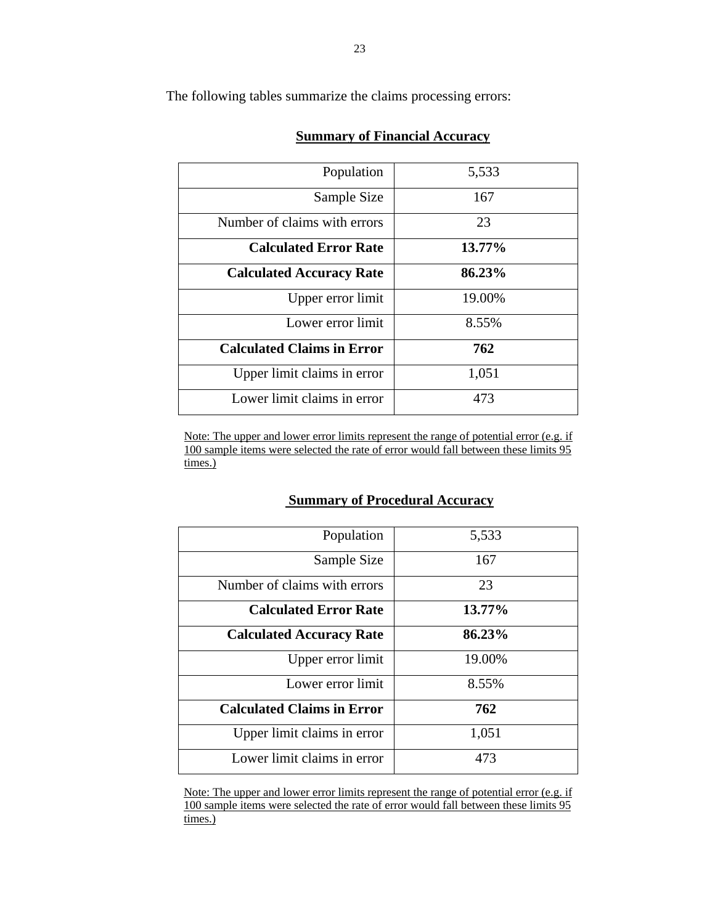The following tables summarize the claims processing errors:

| Population                        | 5,533  |
|-----------------------------------|--------|
| Sample Size                       | 167    |
| Number of claims with errors      | 23     |
| <b>Calculated Error Rate</b>      | 13.77% |
| <b>Calculated Accuracy Rate</b>   | 86.23% |
| Upper error limit                 | 19.00% |
| Lower error limit                 | 8.55%  |
| <b>Calculated Claims in Error</b> | 762    |
| Upper limit claims in error       | 1,051  |
| Lower limit claims in error       | 473    |

## **Summary of Financial Accuracy**

Note: The upper and lower error limits represent the range of potential error (e.g. if 100 sample items were selected the rate of error would fall between these limits 95 times.)

#### **Summary of Procedural Accuracy**

| Population                        | 5,533  |
|-----------------------------------|--------|
| Sample Size                       | 167    |
| Number of claims with errors      | 23     |
| <b>Calculated Error Rate</b>      | 13.77% |
| <b>Calculated Accuracy Rate</b>   | 86.23% |
| Upper error limit                 | 19.00% |
| Lower error limit                 | 8.55%  |
| <b>Calculated Claims in Error</b> | 762    |
| Upper limit claims in error       | 1,051  |
| Lower limit claims in error       | 473    |

Note: The upper and lower error limits represent the range of potential error (e.g. if 100 sample items were selected the rate of error would fall between these limits 95 times.)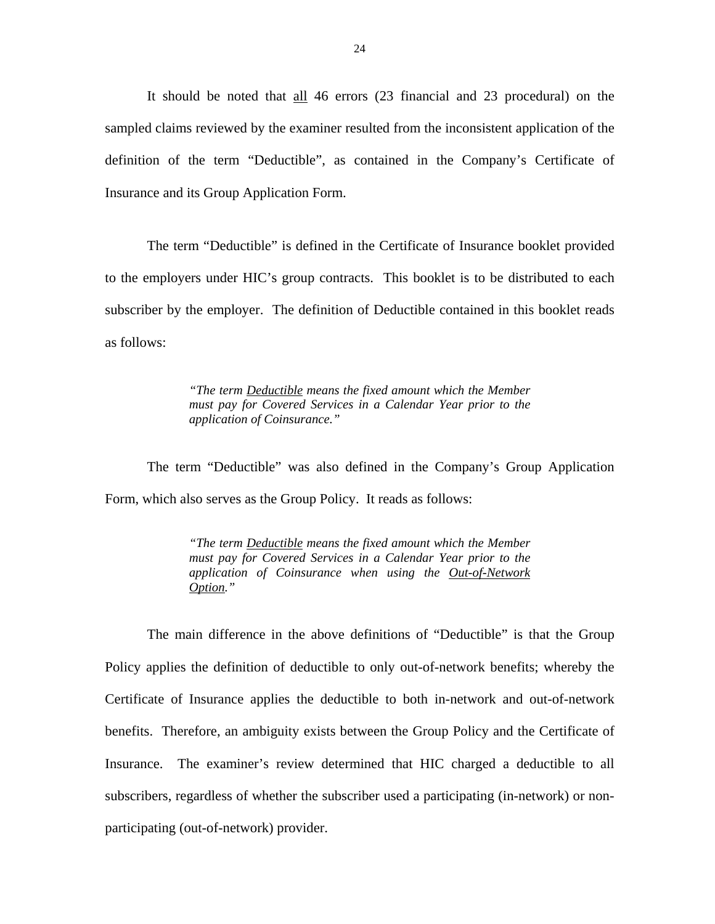It should be noted that all 46 errors (23 financial and 23 procedural) on the sampled claims reviewed by the examiner resulted from the inconsistent application of the definition of the term "Deductible", as contained in the Company's Certificate of Insurance and its Group Application Form.

The term "Deductible" is defined in the Certificate of Insurance booklet provided to the employers under HIC's group contracts. This booklet is to be distributed to each subscriber by the employer. The definition of Deductible contained in this booklet reads as follows:

> *"The term Deductible means the fixed amount which the Member must pay for Covered Services in a Calendar Year prior to the application of Coinsurance."*

The term "Deductible" was also defined in the Company's Group Application Form, which also serves as the Group Policy. It reads as follows:

> *"The term Deductible means the fixed amount which the Member must pay for Covered Services in a Calendar Year prior to the application of Coinsurance when using the Out-of-Network Option."*

The main difference in the above definitions of "Deductible" is that the Group Policy applies the definition of deductible to only out-of-network benefits; whereby the Certificate of Insurance applies the deductible to both in-network and out-of-network benefits. Therefore, an ambiguity exists between the Group Policy and the Certificate of Insurance. The examiner's review determined that HIC charged a deductible to all subscribers, regardless of whether the subscriber used a participating (in-network) or nonparticipating (out-of-network) provider.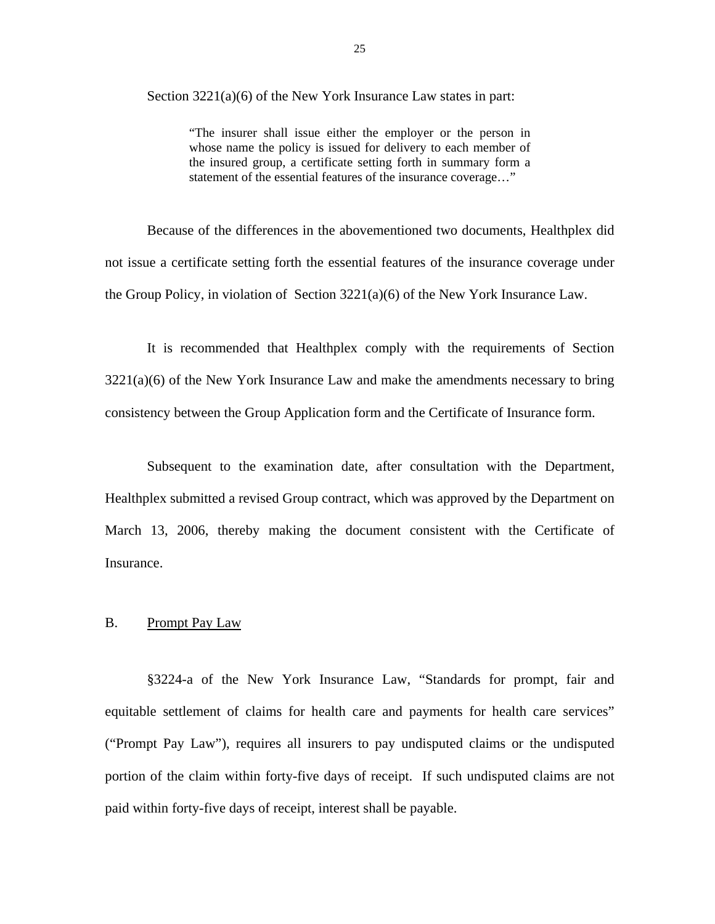<span id="page-26-0"></span>Section  $3221(a)(6)$  of the New York Insurance Law states in part:

"The insurer shall issue either the employer or the person in whose name the policy is issued for delivery to each member of the insured group, a certificate setting forth in summary form a statement of the essential features of the insurance coverage…"

Because of the differences in the abovementioned two documents, Healthplex did not issue a certificate setting forth the essential features of the insurance coverage under the Group Policy, in violation of Section 3221(a)(6) of the New York Insurance Law.

It is recommended that Healthplex comply with the requirements of Section  $3221(a)(6)$  of the New York Insurance Law and make the amendments necessary to bring consistency between the Group Application form and the Certificate of Insurance form.

Subsequent to the examination date, after consultation with the Department, Healthplex submitted a revised Group contract, which was approved by the Department on March 13, 2006, thereby making the document consistent with the Certificate of Insurance.

### B. Prompt Pay Law

§3224-a of the New York Insurance Law, "Standards for prompt, fair and equitable settlement of claims for health care and payments for health care services" ("Prompt Pay Law"), requires all insurers to pay undisputed claims or the undisputed portion of the claim within forty-five days of receipt. If such undisputed claims are not paid within forty-five days of receipt, interest shall be payable.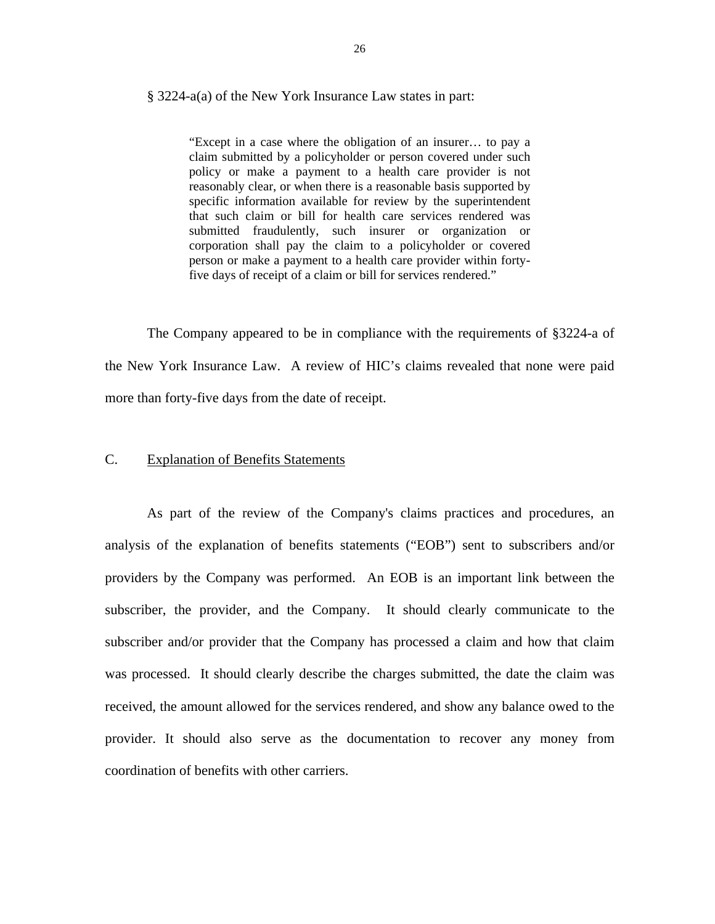#### <span id="page-27-0"></span>§ 3224-a(a) of the New York Insurance Law states in part:

"Except in a case where the obligation of an insurer… to pay a claim submitted by a policyholder or person covered under such policy or make a payment to a health care provider is not reasonably clear, or when there is a reasonable basis supported by specific information available for review by the superintendent that such claim or bill for health care services rendered was submitted fraudulently, such insurer or organization or corporation shall pay the claim to a policyholder or covered person or make a payment to a health care provider within fortyfive days of receipt of a claim or bill for services rendered."

The Company appeared to be in compliance with the requirements of §3224-a of the New York Insurance Law. A review of HIC's claims revealed that none were paid more than forty-five days from the date of receipt.

#### C. Explanation of Benefits Statements

As part of the review of the Company's claims practices and procedures, an analysis of the explanation of benefits statements ("EOB") sent to subscribers and/or providers by the Company was performed. An EOB is an important link between the subscriber, the provider, and the Company. It should clearly communicate to the subscriber and/or provider that the Company has processed a claim and how that claim was processed. It should clearly describe the charges submitted, the date the claim was received, the amount allowed for the services rendered, and show any balance owed to the provider. It should also serve as the documentation to recover any money from coordination of benefits with other carriers.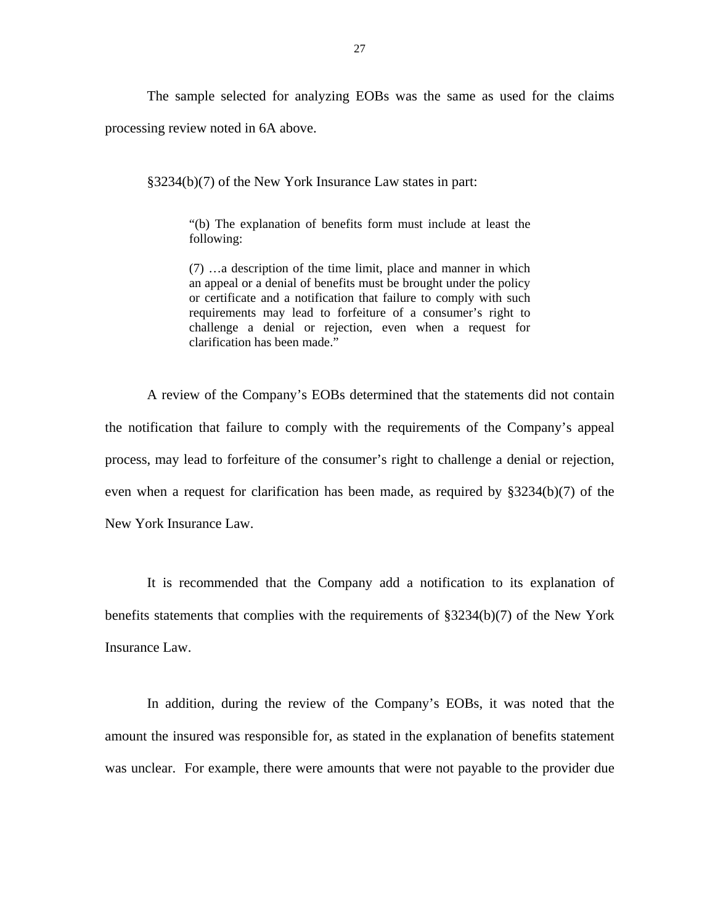The sample selected for analyzing EOBs was the same as used for the claims processing review noted in 6A above.

§3234(b)(7) of the New York Insurance Law states in part:

"(b) The explanation of benefits form must include at least the following:

(7) …a description of the time limit, place and manner in which an appeal or a denial of benefits must be brought under the policy or certificate and a notification that failure to comply with such requirements may lead to forfeiture of a consumer's right to challenge a denial or rejection, even when a request for clarification has been made."

A review of the Company's EOBs determined that the statements did not contain the notification that failure to comply with the requirements of the Company's appeal process, may lead to forfeiture of the consumer's right to challenge a denial or rejection, even when a request for clarification has been made, as required by §3234(b)(7) of the New York Insurance Law.

It is recommended that the Company add a notification to its explanation of benefits statements that complies with the requirements of §3234(b)(7) of the New York Insurance Law.

In addition, during the review of the Company's EOBs, it was noted that the amount the insured was responsible for, as stated in the explanation of benefits statement was unclear. For example, there were amounts that were not payable to the provider due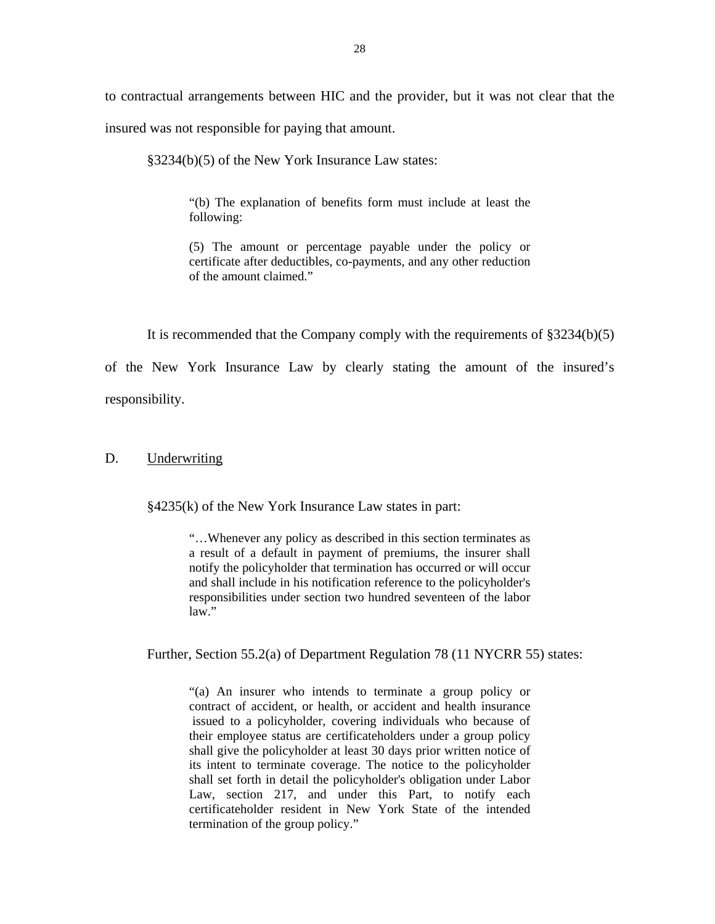<span id="page-29-0"></span>to contractual arrangements between HIC and the provider, but it was not clear that the insured was not responsible for paying that amount.

§3234(b)(5) of the New York Insurance Law states:

"(b) The explanation of benefits form must include at least the following:

(5) The amount or percentage payable under the policy or certificate after deductibles, co-payments, and any other reduction of the amount claimed."

It is recommended that the Company comply with the requirements of §3234(b)(5)

of the New York Insurance Law by clearly stating the amount of the insured's responsibility.

#### D. Underwriting

§4235(k) of the New York Insurance Law states in part:

"…Whenever any policy as described in this section terminates as a result of a default in payment of premiums, the insurer shall notify the policyholder that termination has occurred or will occur and shall include in his notification reference to the policyholder's responsibilities under section two hundred seventeen of the labor law."

Further, Section 55.2(a) of Department Regulation 78 (11 NYCRR 55) states:

 "(a) An insurer who intends to terminate a group policy or contract of accident, or health, or accident and health insurance issued to a policyholder, covering individuals who because of their employee status are certificateholders under a group policy shall give the policyholder at least 30 days prior written notice of its intent to terminate coverage. The notice to the policyholder shall set forth in detail the policyholder's obligation under Labor Law, section 217, and under this Part, to notify each certificateholder resident in New York State of the intended termination of the group policy."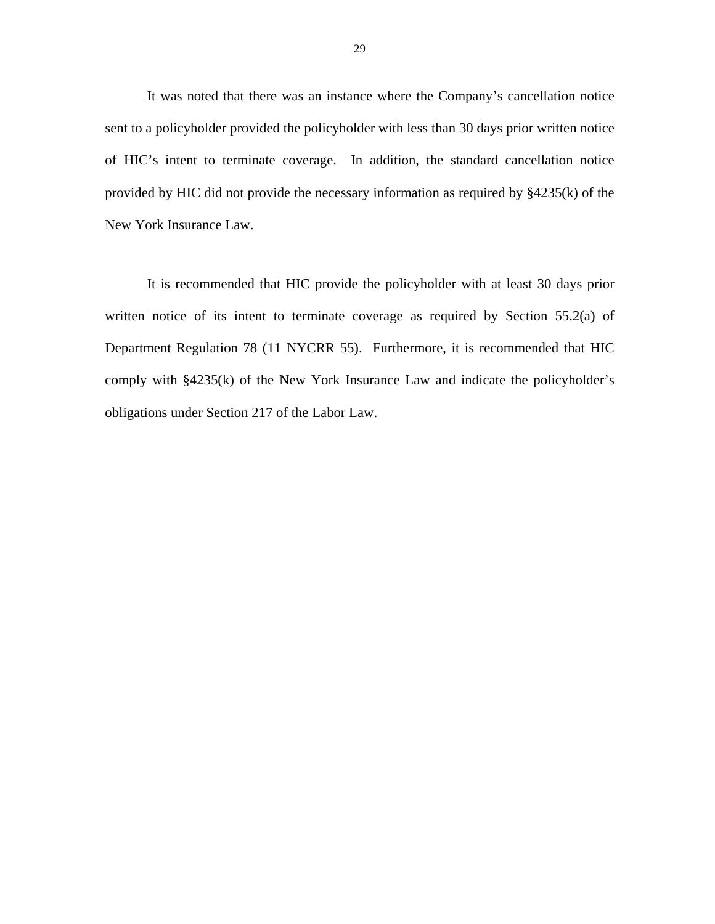It was noted that there was an instance where the Company's cancellation notice sent to a policyholder provided the policyholder with less than 30 days prior written notice of HIC's intent to terminate coverage. In addition, the standard cancellation notice provided by HIC did not provide the necessary information as required by §4235(k) of the New York Insurance Law.

It is recommended that HIC provide the policyholder with at least 30 days prior written notice of its intent to terminate coverage as required by Section 55.2(a) of Department Regulation 78 (11 NYCRR 55). Furthermore, it is recommended that HIC comply with §4235(k) of the New York Insurance Law and indicate the policyholder's obligations under Section 217 of the Labor Law.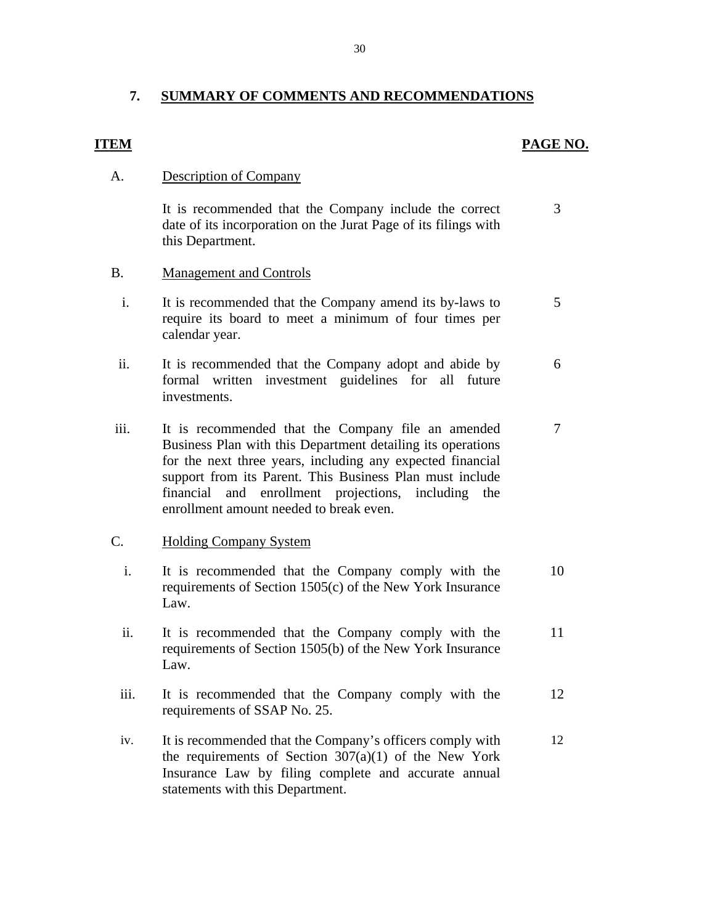## <span id="page-31-0"></span>**7. SUMMARY OF COMMENTS AND RECOMMENDATIONS**

#### **ITEM**

#### **PAGE NO.**

#### **Description of Company**

A. Description of Company<br>It is recommended that the Company include the correct 3 date of its incorporation on the Jurat Page of its filings with this Department.

### B. Management and Controls

- i. It is recommended that the Company amend its by-laws to 5 require its board to meet a minimum of four times per calendar year.
- ii. It is recommended that the Company adopt and abide by 6 formal written investment guidelines for all future investments.
- iii. It is recommended that the Company file an amended 7 Business Plan with this Department detailing its operations for the next three years, including any expected financial support from its Parent. This Business Plan must include financial and enrollment projections, including the enrollment amount needed to break even.

#### **Holding Company System**

- C. Holding Company System<br>i. It is recommended that the Company comply with the 10 requirements of Section 1505(c) of the New York Insurance Law.
	- ii. It is recommended that the Company comply with the 11 requirements of Section 1505(b) of the New York Insurance Law.
	- iii. It is recommended that the Company comply with the 12 requirements of SSAP No. 25.
	- 12 the requirements of Section  $307(a)(1)$  of the New York Insurance Law by filing complete and accurate annual statements with this Department. iv. It is recommended that the Company's officers comply with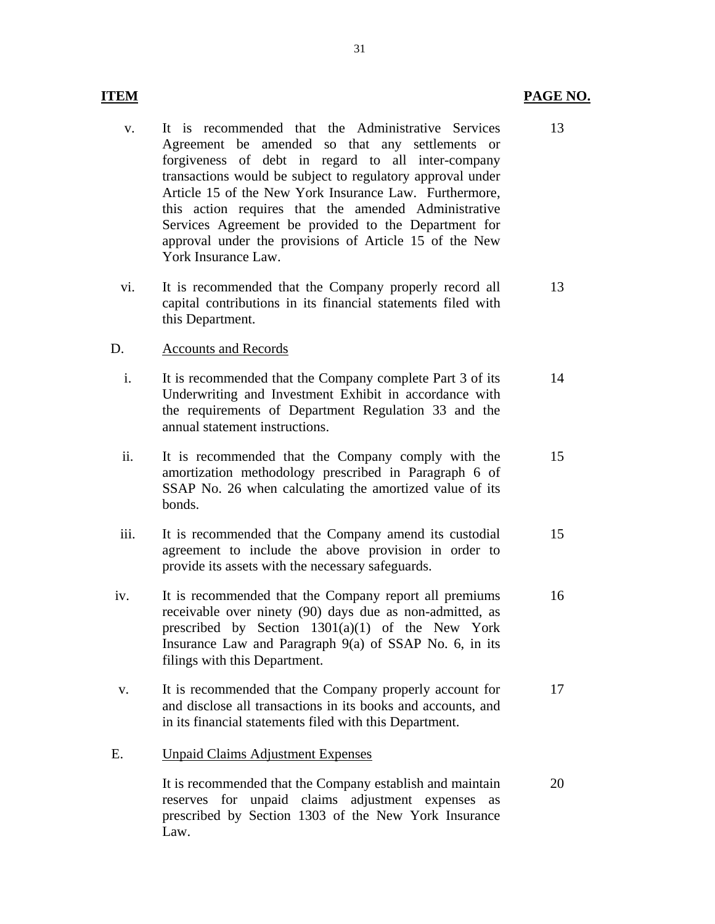- v. It is recommended that the Administrative Services Agreement be amended so that any settlements or forgiveness of debt in regard to all inter-company transactions would be subject to regulatory approval under Article 15 of the New York Insurance Law. Furthermore, this action requires that the amended Administrative Services Agreement be provided to the Department for approval under the provisions of Article 15 of the New York Insurance Law.
- vi. It is recommended that the Company properly record all capital contributions in its financial statements filed with this Department. 13

#### **Accounts and Records**

- D. Accounts and Records<br>i. It is recommended that the Company complete Part 3 of its Underwriting and Investment Exhibit in accordance with the requirements of Department Regulation 33 and the annual statement instructions. 14
	- ii. It is recommended that the Company comply with the amortization methodology prescribed in Paragraph 6 of SSAP No. 26 when calculating the amortized value of its bonds. 15
	- iii. It is recommended that the Company amend its custodial agreement to include the above provision in order to provide its assets with the necessary safeguards. 15
- iv. It is recommended that the Company report all premiums receivable over ninety (90) days due as non-admitted, as prescribed by Section 1301(a)(1) of the New York Insurance Law and Paragraph 9(a) of SSAP No. 6, in its filings with this Department. 16
- v. It is recommended that the Company properly account for and disclose all transactions in its books and accounts, and in its financial statements filed with this Department. 17

#### **Unpaid Claims Adjustment Expenses**

E. Unpaid Claims Adjustment Expenses<br>It is recommended that the Company establish and maintain reserves for unpaid claims adjustment expenses as prescribed by Section 1303 of the New York Insurance Law. 20

13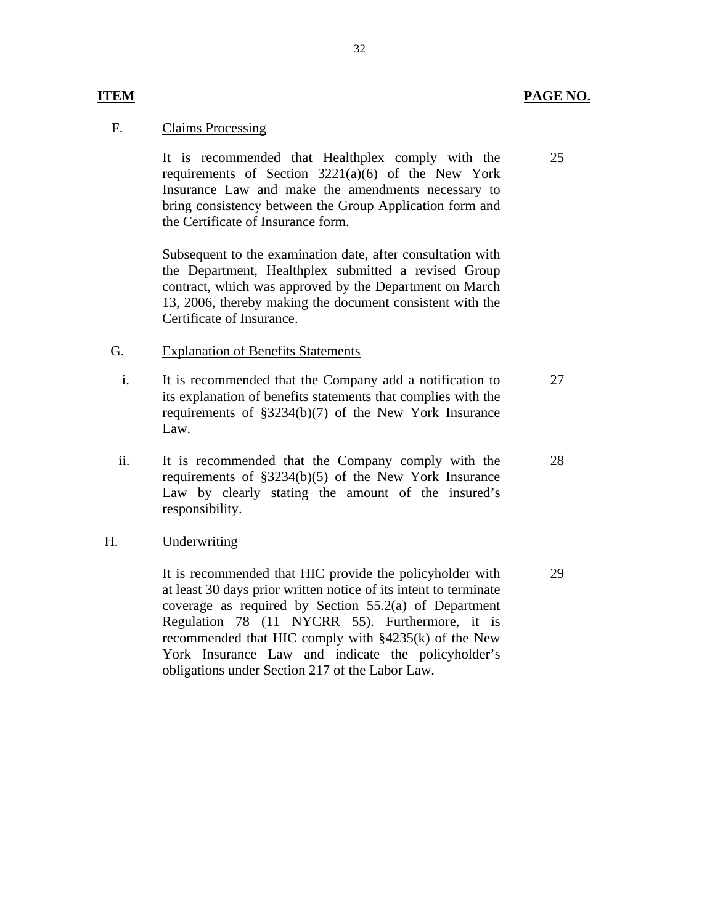#### **Claims Processing**

**ITEM** 

F. Claims Processing<br>It is recommended that Healthplex comply with the requirements of Section  $3221(a)(6)$  of the New York Insurance Law and make the amendments necessary to bring consistency between the Group Application form and the Certificate of Insurance form.

> Subsequent to the examination date, after consultation with the Department, Healthplex submitted a revised Group contract, which was approved by the Department on March 13, 2006, thereby making the document consistent with the Certificate of Insurance.

#### G. Explanation of Benefits Statements

- i. It is recommended that the Company add a notification to its explanation of benefits statements that complies with the requirements of §3234(b)(7) of the New York Insurance Law. 27
- ii. It is recommended that the Company comply with the requirements of §3234(b)(5) of the New York Insurance Law by clearly stating the amount of the insured's responsibility.

#### Underwriting

H. Underwriting<br>It is recommended that HIC provide the policyholder with at least 30 days prior written notice of its intent to terminate coverage as required by Section 55.2(a) of Department Regulation 78 (11 NYCRR 55). Furthermore, it is recommended that HIC comply with §4235(k) of the New York Insurance Law and indicate the policyholder's obligations under Section 217 of the Labor Law.

#### 32

28

29